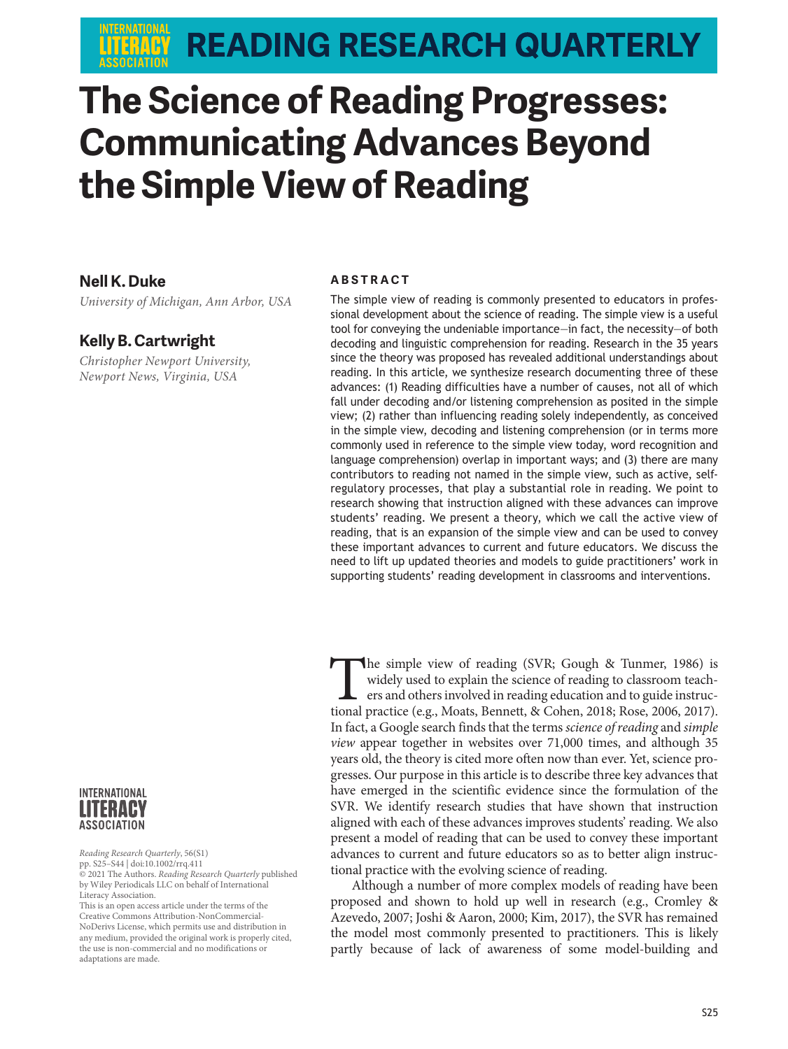# **READING RESEARCH QUARTERLY**

# **The Science of Reading Progresses: Communicating Advances Beyond the Simple View of Reading**

#### **Nell K. Duke**

*University of Michigan, Ann Arbor, USA*

#### **Kelly B. Cartwright**

*Christopher Newport University, Newport News, Virginia, USA*



*Reading Research Quarterly*, 56(S1) pp. S25–S44 | doi:10.1002/rrq.411 © 2021 The Authors. *Reading Research Quarterly* published by Wiley Periodicals LLC on behalf of International Literacy Association.

This is an open access article under the terms of the [Creative Commons Attribution-NonCommercial-](http://creativecommons.org/licenses/by-nc-nd/4.0/)[NoDerivs](http://creativecommons.org/licenses/by-nc-nd/4.0/) License, which permits use and distribution in any medium, provided the original work is properly cited, the use is non-commercial and no modifications or adaptations are made.

#### **ABSTRACT**

The simple view of reading is commonly presented to educators in professional development about the science of reading. The simple view is a useful tool for conveying the undeniable importance—in fact, the necessity—of both decoding and linguistic comprehension for reading. Research in the 35 years since the theory was proposed has revealed additional understandings about reading. In this article, we synthesize research documenting three of these advances: (1) Reading difficulties have a number of causes, not all of which fall under decoding and/or listening comprehension as posited in the simple view; (2) rather than influencing reading solely independently, as conceived in the simple view, decoding and listening comprehension (or in terms more commonly used in reference to the simple view today, word recognition and language comprehension) overlap in important ways; and (3) there are many contributors to reading not named in the simple view, such as active, selfregulatory processes, that play a substantial role in reading. We point to research showing that instruction aligned with these advances can improve students' reading. We present a theory, which we call the active view of reading, that is an expansion of the simple view and can be used to convey these important advances to current and future educators. We discuss the need to lift up updated theories and models to guide practitioners' work in supporting students' reading development in classrooms and interventions.

The simple view of reading (SVR; Gough & Tunmer, 1986) is widely used to explain the science of reading to classroom teachers and others involved in reading education and to guide instructional practice (e.g., Moats, Benne widely used to explain the science of reading to classroom teachers and others involved in reading education and to guide instructional practice (e.g., Moats, Bennett, & Cohen, 2018; Rose, 2006, 2017). In fact, a Google search finds that the terms *science of reading* and *simple view* appear together in websites over 71,000 times, and although 35 years old, the theory is cited more often now than ever. Yet, science progresses. Our purpose in this article is to describe three key advances that have emerged in the scientific evidence since the formulation of the SVR. We identify research studies that have shown that instruction aligned with each of these advances improves students' reading. We also present a model of reading that can be used to convey these important advances to current and future educators so as to better align instructional practice with the evolving science of reading.

Although a number of more complex models of reading have been proposed and shown to hold up well in research (e.g., Cromley & Azevedo, 2007; Joshi & Aaron, 2000; Kim, 2017), the SVR has remained the model most commonly presented to practitioners. This is likely partly because of lack of awareness of some model-building and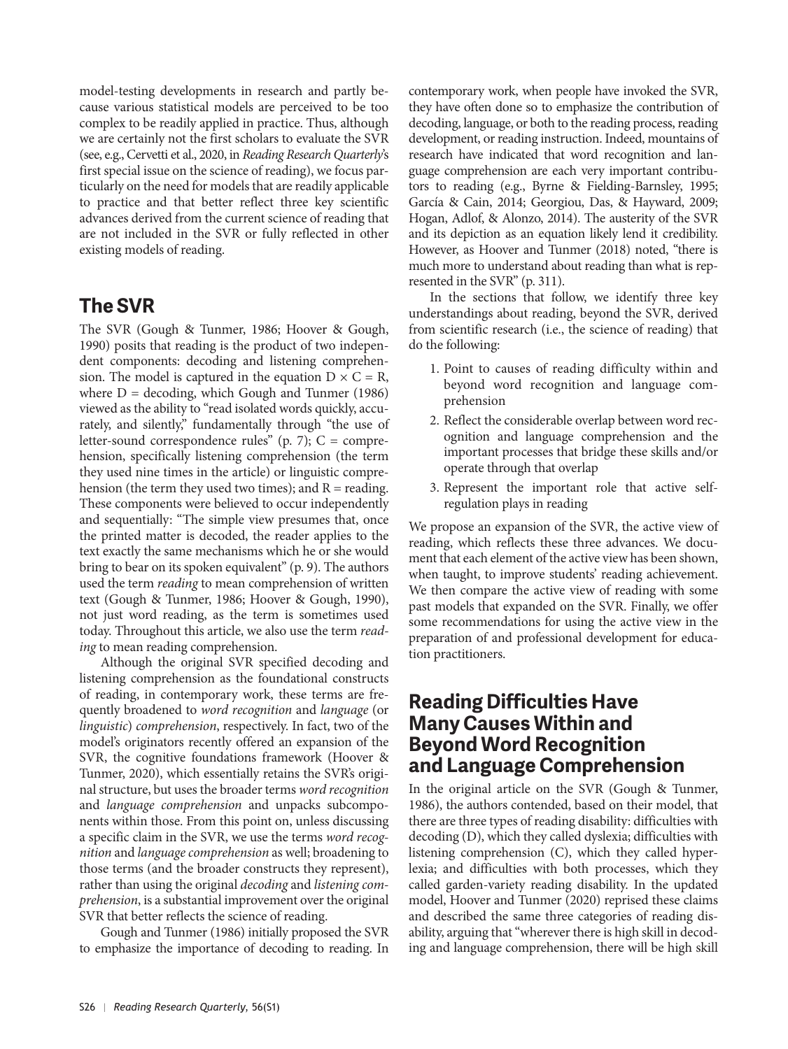model-testing developments in research and partly be cause various statistical models are perceived to be too complex to be readily applied in practice. Thus, although we are certainly not the first scholars to evaluate the SVR (see, e.g., Cervetti et al., 2020, in *Reading Research Quarterly*'s first special issue on the science of reading), we focus particularly on the need for models that are readily applicable to practice and that better reflect three key scientific advances derived from the current science of reading that are not included in the SVR or fully reflected in other existing models of reading.

# **The SVR**

The SVR (Gough & Tunmer, 1986; Hoover & Gough, 1990) posits that reading is the product of two independent components: decoding and listening comprehension. The model is captured in the equation  $D \times C = R$ , where  $D =$  decoding, which Gough and Tunmer (1986) viewed as the ability to "read isolated words quickly, accurately, and silently," fundamentally through "the use of letter-sound correspondence rules" (p. 7);  $C =$  comprehension, specifically listening comprehension (the term they used nine times in the article) or linguistic comprehension (the term they used two times); and  $R =$  reading. These components were believed to occur independently and sequentially: "The simple view presumes that, once the printed matter is decoded, the reader applies to the text exactly the same mechanisms which he or she would bring to bear on its spoken equivalent" (p. 9). The authors used the term *reading* to mean comprehension of written text (Gough & Tunmer, 1986; Hoover & Gough, 1990), not just word reading, as the term is sometimes used today. Throughout this article, we also use the term *reading* to mean reading comprehension.

Although the original SVR specified decoding and listening comprehension as the foundational constructs of reading, in contemporary work, these terms are frequently broadened to *word recognition* and *language* (or *linguistic*) *comprehension*, respectively. In fact, two of the model's originators recently offered an expansion of the SVR, the cognitive foundations framework (Hoover & Tunmer, 2020), which essentially retains the SVR's original structure, but uses the broader terms *word recognition* and *language comprehension* and unpacks subcomponents within those. From this point on, unless discussing a specific claim in the SVR, we use the terms *word recognition* and *language comprehension* as well; broadening to those terms (and the broader constructs they represent), rather than using the original *decoding* and *listening comprehension*, is a substantial improvement over the original SVR that better reflects the science of reading.

Gough and Tunmer (1986) initially proposed the SVR to emphasize the importance of decoding to reading. In contemporary work, when people have invoked the SVR, they have often done so to emphasize the contribution of decoding, language, or both to the reading process, reading development, or reading instruction. Indeed, mountains of research have indicated that word recognition and language comprehension are each very important contributors to reading (e.g., Byrne & Fielding-Barnsley, 1995; García & Cain, 2014; Georgiou, Das, & Hayward, 2009; Hogan, Adlof, & Alonzo, 2014). The austerity of the SVR and its depiction as an equation likely lend it credibility. However, as Hoover and Tunmer (2018) noted, "there is much more to understand about reading than what is represented in the SVR" (p. 311).

In the sections that follow, we identify three key understandings about reading, beyond the SVR, derived from scientific research (i.e., the science of reading) that do the following:

- 1. Point to causes of reading difficulty within and beyond word recognition and language comprehension
- 2. Reflect the considerable overlap between word recognition and language comprehension and the important processes that bridge these skills and/or operate through that overlap
- 3. Represent the important role that active selfregulation plays in reading

We propose an expansion of the SVR, the active view of reading, which reflects these three advances. We document that each element of the active view has been shown, when taught, to improve students' reading achievement. We then compare the active view of reading with some past models that expanded on the SVR. Finally, we offer some recommendations for using the active view in the preparation of and professional development for education practitioners.

## **Reading Difficulties Have Many Causes Within and Beyond Word Recognition and Language Comprehension**

In the original article on the SVR (Gough & Tunmer, 1986), the authors contended, based on their model, that there are three types of reading disability: difficulties with decoding (D), which they called dyslexia; difficulties with listening comprehension (C), which they called hyperlexia; and difficulties with both processes, which they called garden-variety reading disability. In the updated model, Hoover and Tunmer (2020) reprised these claims and described the same three categories of reading disability, arguing that "wherever there is high skill in decoding and language comprehension, there will be high skill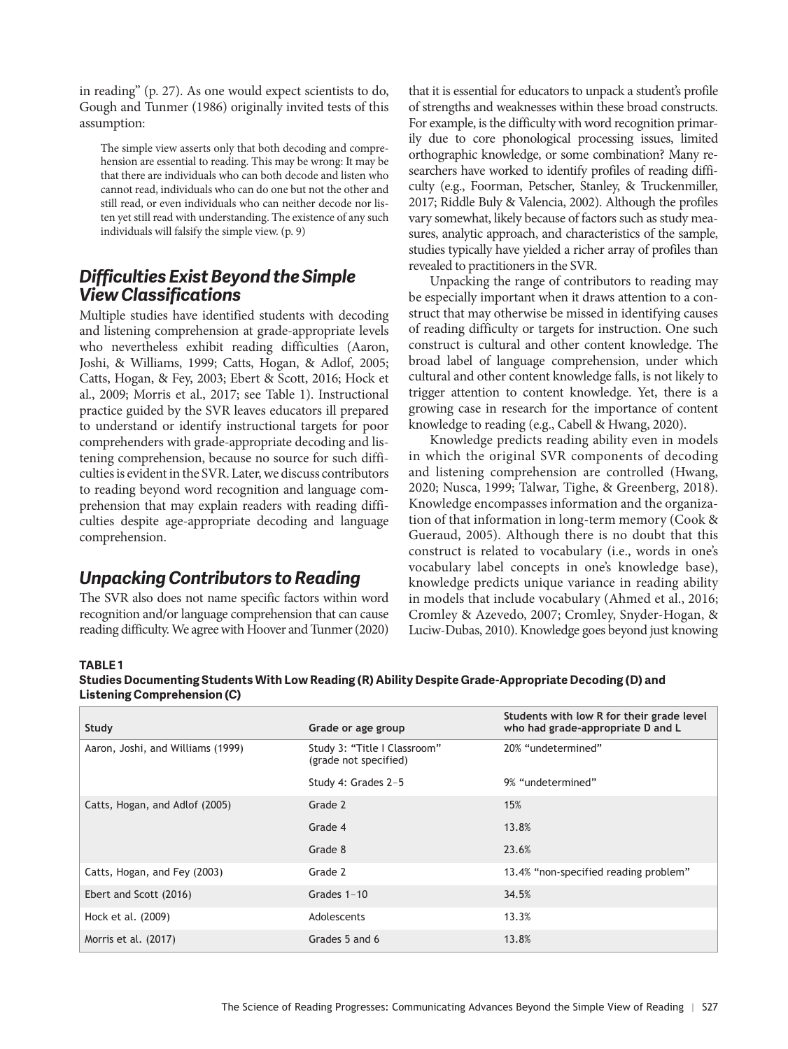in reading" (p. 27). As one would expect scientists to do, Gough and Tunmer (1986) originally invited tests of this assumption:

The simple view asserts only that both decoding and comprehension are essential to reading. This may be wrong: It may be that there are individuals who can both decode and listen who cannot read, individuals who can do one but not the other and still read, or even individuals who can neither decode nor listen yet still read with understanding. The existence of any such individuals will falsify the simple view. (p. 9)

## *Difficulties Exist Beyond the Simple View Classifications*

Multiple studies have identified students with decoding and listening comprehension at grade-appropriate levels who nevertheless exhibit reading difficulties (Aaron, Joshi, & Williams, 1999; Catts, Hogan, & Adlof, 2005; Catts, Hogan, & Fey, 2003; Ebert & Scott, 2016; Hock et al., 2009; Morris et al., 2017; see Table 1). Instructional practice guided by the SVR leaves educators ill prepared to understand or identify instructional targets for poor comprehenders with grade-appropriate decoding and listening comprehension, because no source for such difficulties is evident in the SVR. Later, we discuss contributors to reading beyond word recognition and language comprehension that may explain readers with reading difficulties despite age-appropriate decoding and language comprehension.

### *Unpacking Contributors to Reading*

The SVR also does not name specific factors within word recognition and/or language comprehension that can cause reading difficulty. We agree with Hoover and Tunmer (2020)

that it is essential for educators to unpack a student's profile of strengths and weaknesses within these broad constructs. For example, is the difficulty with word recognition primarily due to core phonological processing issues, limited orthographic knowledge, or some combination? Many researchers have worked to identify profiles of reading difficulty (e.g., Foorman, Petscher, Stanley, & Truckenmiller, 2017; Riddle Buly & Valencia, 2002). Although the profiles vary somewhat, likely because of factors such as study measures, analytic approach, and characteristics of the sample, studies typically have yielded a richer array of profiles than revealed to practitioners in the SVR.

Unpacking the range of contributors to reading may be especially important when it draws attention to a construct that may otherwise be missed in identifying causes of reading difficulty or targets for instruction. One such construct is cultural and other content knowledge. The broad label of language comprehension, under which cultural and other content knowledge falls, is not likely to trigger attention to content knowledge. Yet, there is a growing case in research for the importance of content knowledge to reading (e.g., Cabell & Hwang, 2020).

Knowledge predicts reading ability even in models in which the original SVR components of decoding and listening comprehension are controlled (Hwang, 2020; Nusca, 1999; Talwar, Tighe, & Greenberg, 2018). Knowledge encompasses information and the organization of that information in long-term memory (Cook & Gueraud, 2005). Although there is no doubt that this construct is related to vocabulary (i.e., words in one's vocabulary label concepts in one's knowledge base), knowledge predicts unique variance in reading ability in models that include vocabulary (Ahmed et al., 2016; Cromley & Azevedo, 2007; Cromley, Snyder-Hogan, & Luciw-Dubas, 2010). Knowledge goes beyond just knowing

#### **TABLE 1**

**Studies Documenting Students With Low Reading (R) Ability Despite Grade-Appropriate Decoding (D) and Listening Comprehension (C)**

| Study                             | Grade or age group                                    | Students with low R for their grade level<br>who had grade-appropriate D and L |
|-----------------------------------|-------------------------------------------------------|--------------------------------------------------------------------------------|
| Aaron, Joshi, and Williams (1999) | Study 3: "Title I Classroom"<br>(grade not specified) | 20% "undetermined"                                                             |
|                                   | Study 4: Grades 2-5                                   | 9% "undetermined"                                                              |
| Catts, Hogan, and Adlof (2005)    | Grade 2                                               | 15%                                                                            |
|                                   | Grade 4                                               | 13.8%                                                                          |
|                                   | Grade 8                                               | 23.6%                                                                          |
| Catts, Hogan, and Fey (2003)      | Grade 2                                               | 13.4% "non-specified reading problem"                                          |
| Ebert and Scott (2016)            | Grades $1-10$                                         | 34.5%                                                                          |
| Hock et al. (2009)                | Adolescents                                           | 13.3%                                                                          |
| Morris et al. (2017)              | Grades 5 and 6                                        | 13.8%                                                                          |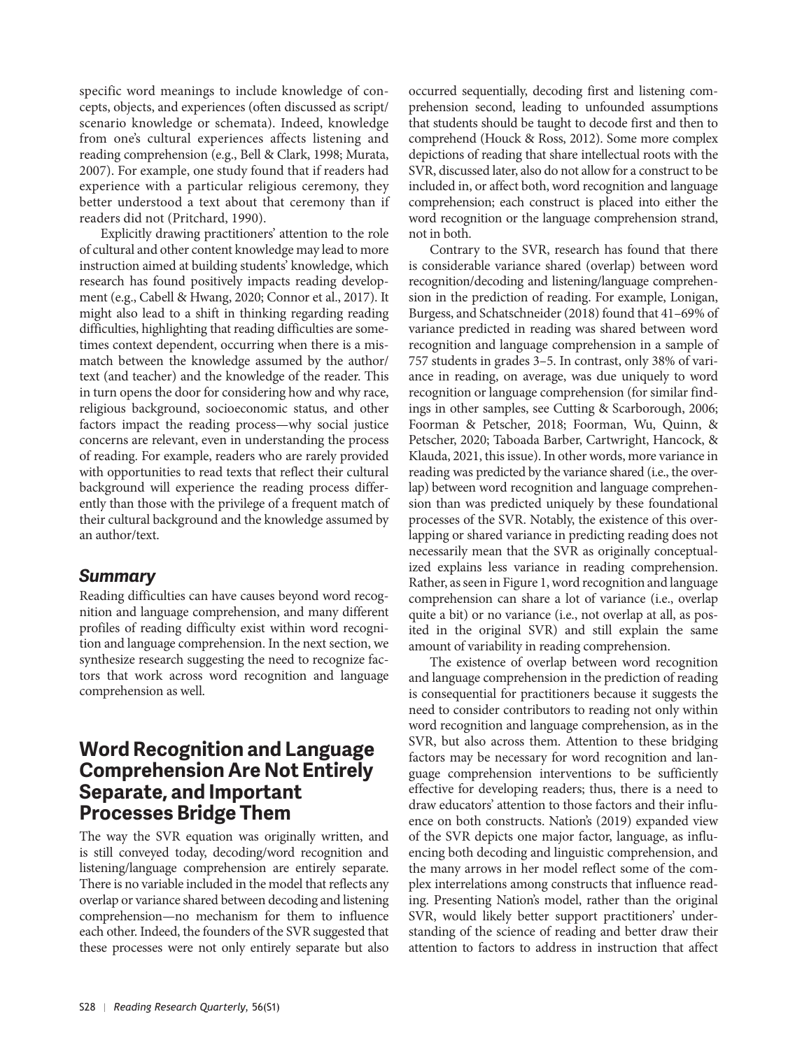specific word meanings to include knowledge of concepts, objects, and experiences (often discussed as script/ scenario knowledge or schemata). Indeed, knowledge from one's cultural experiences affects listening and reading comprehension (e.g., Bell & Clark, 1998; Murata, 2007). For example, one study found that if readers had experience with a particular religious ceremony, they better understood a text about that ceremony than if readers did not (Pritchard, 1990).

Explicitly drawing practitioners' attention to the role of cultural and other content knowledge may lead to more instruction aimed at building students' knowledge, which research has found positively impacts reading development (e.g., Cabell & Hwang, 2020; Connor et al., 2017). It might also lead to a shift in thinking regarding reading difficulties, highlighting that reading difficulties are some times context dependent, occurring when there is a mismatch between the knowledge assumed by the author/ text (and teacher) and the knowledge of the reader. This in turn opens the door for considering how and why race, religious background, socioeconomic status, and other factors impact the reading process—why social justice concerns are relevant, even in understanding the process of reading. For example, readers who are rarely provided with opportunities to read texts that reflect their cultural background will experience the reading process differently than those with the privilege of a frequent match of their cultural background and the knowledge assumed by an author/text.

#### *Summary*

Reading difficulties can have causes beyond word recognition and language comprehension, and many different profiles of reading difficulty exist within word recognition and language comprehension. In the next section, we synthesize research suggesting the need to recognize factors that work across word recognition and language comprehension as well.

## **Word Recognition and Language Comprehension Are Not Entirely Separate, and Important Processes Bridge Them**

The way the SVR equation was originally written, and is still conveyed today, decoding/word recognition and listening/language comprehension are entirely separate. There is no variable included in the model that reflects any overlap or variance shared between decoding and listening comprehension—no mechanism for them to influence each other. Indeed, the founders of the SVR suggested that these processes were not only entirely separate but also

occurred sequentially, decoding first and listening comprehension second, leading to unfounded assumptions that students should be taught to decode first and then to comprehend (Houck & Ross, 2012). Some more complex depictions of reading that share intellectual roots with the SVR, discussed later, also do not allow for a construct to be included in, or affect both, word recognition and language comprehension; each construct is placed into either the word recognition or the language comprehension strand, not in both.

Contrary to the SVR, research has found that there is considerable variance shared (overlap) between word recognition/decoding and listening/language comprehension in the prediction of reading. For example, Lonigan, Burgess, and Schatschneider (2018) found that 41–69% of variance predicted in reading was shared between word recognition and language comprehension in a sample of 757 students in grades 3–5. In contrast, only 38% of variance in reading, on average, was due uniquely to word recognition or language comprehension (for similar findings in other samples, see Cutting & Scarborough, 2006; Foorman & Petscher, 2018; Foorman, Wu, Quinn, & Petscher, 2020; Taboada Barber, Cartwright, Hancock, & Klauda, 2021, this issue). In other words, more variance in reading was predicted by the variance shared (i.e., the overlap) between word recognition and language comprehension than was predicted uniquely by these foundational processes of the SVR. Notably, the existence of this overlapping or shared variance in predicting reading does not necessarily mean that the SVR as originally conceptualized explains less variance in reading comprehension. Rather, as seen in Figure 1, word recognition and language comprehension can share a lot of variance (i.e., overlap quite a bit) or no variance (i.e., not overlap at all, as posited in the original SVR) and still explain the same amount of variability in reading comprehension.

The existence of overlap between word recognition and language comprehension in the prediction of reading is consequential for practitioners because it suggests the need to consider contributors to reading not only within word recognition and language comprehension, as in the SVR, but also across them. Attention to these bridging factors may be necessary for word recognition and language comprehension interventions to be sufficiently effective for developing readers; thus, there is a need to draw educators' attention to those factors and their influence on both constructs. Nation's (2019) expanded view of the SVR depicts one major factor, language, as influencing both decoding and linguistic comprehension, and the many arrows in her model reflect some of the complex interrelations among constructs that influence reading. Presenting Nation's model, rather than the original SVR, would likely better support practitioners' understanding of the science of reading and better draw their attention to factors to address in instruction that affect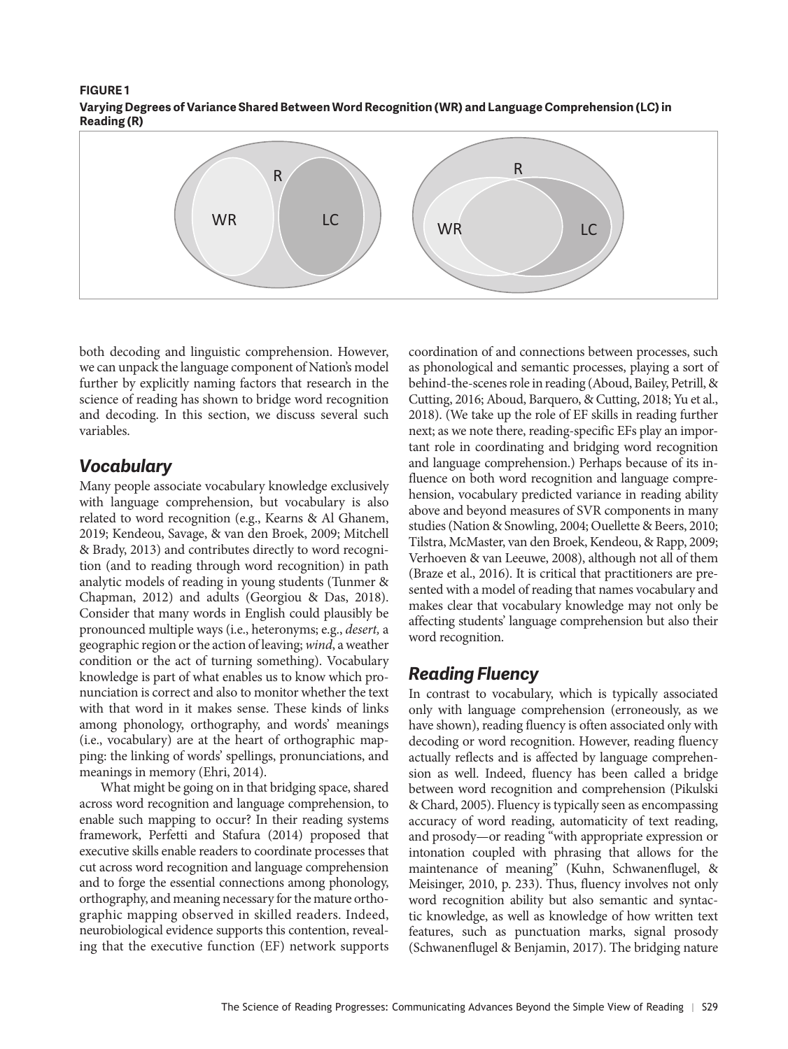#### **FIGURE 1 Varying Degrees of Variance Shared Between Word Recognition (WR) and Language Comprehension (LC) in Reading (R)**



both decoding and linguistic comprehension. However, we can unpack the language component of Nation's model further by explicitly naming factors that research in the science of reading has shown to bridge word recognition and decoding. In this section, we discuss several such variables.

## *Vocabulary*

Many people associate vocabulary knowledge exclusively with language comprehension, but vocabulary is also related to word recognition (e.g., Kearns & Al Ghanem, 2019; Kendeou, Savage, & van den Broek, 2009; Mitchell & Brady, 2013) and contributes directly to word recognition (and to reading through word recognition) in path analytic models of reading in young students (Tunmer & Chapman, 2012) and adults (Georgiou & Das, 2018). Consider that many words in English could plausibly be pronounced multiple ways (i.e., heteronyms; e.g., *desert,* a geographic region or the action of leaving; *wind*, a weather condition or the act of turning something). Vocabulary knowledge is part of what enables us to know which pronunciation is correct and also to monitor whether the text with that word in it makes sense. These kinds of links among phonology, orthography, and words' meanings (i.e., vocabulary) are at the heart of orthographic mapping: the linking of words' spellings, pronunciations, and meanings in memory (Ehri, 2014).

What might be going on in that bridging space, shared across word recognition and language comprehension, to enable such mapping to occur? In their reading systems framework, Perfetti and Stafura (2014) proposed that executive skills enable readers to coordinate processes that cut across word recognition and language comprehension and to forge the essential connections among phonology, orthography, and meaning necessary for the mature orthographic mapping observed in skilled readers. Indeed, neurobiological evidence supports this contention, revealing that the executive function (EF) network supports

coordination of and connections between processes, such as phonological and semantic processes, playing a sort of behind-the-scenes role in reading (Aboud, Bailey, Petrill, & Cutting, 2016; Aboud, Barquero, & Cutting, 2018; Yu et al., 2018). (We take up the role of EF skills in reading further next; as we note there, reading-specific EFs play an important role in coordinating and bridging word recognition and language comprehension.) Perhaps because of its influence on both word recognition and language comprehension, vocabulary predicted variance in reading ability above and beyond measures of SVR components in many studies (Nation & Snowling, 2004; Ouellette & Beers, 2010; Tilstra, McMaster, van den Broek, Kendeou, & Rapp, 2009; Verhoeven & van Leeuwe, 2008), although not all of them (Braze et al., 2016). It is critical that practitioners are presented with a model of reading that names vocabulary and makes clear that vocabulary knowledge may not only be affecting students' language comprehension but also their word recognition.

## *Reading Fluency*

In contrast to vocabulary, which is typically associated only with language comprehension (erroneously, as we have shown), reading fluency is often associated only with decoding or word recognition. However, reading fluency actually reflects and is affected by language comprehension as well. Indeed, fluency has been called a bridge between word recognition and comprehension (Pikulski & Chard, 2005). Fluency is typically seen as encompassing accuracy of word reading, automaticity of text reading, and prosody—or reading "with appropriate expression or intonation coupled with phrasing that allows for the maintenance of meaning" (Kuhn, Schwanenflugel, & Meisinger, 2010, p. 233). Thus, fluency involves not only word recognition ability but also semantic and syntactic knowledge, as well as knowledge of how written text features, such as punctuation marks, signal prosody (Schwanenflugel & Benjamin, 2017). The bridging nature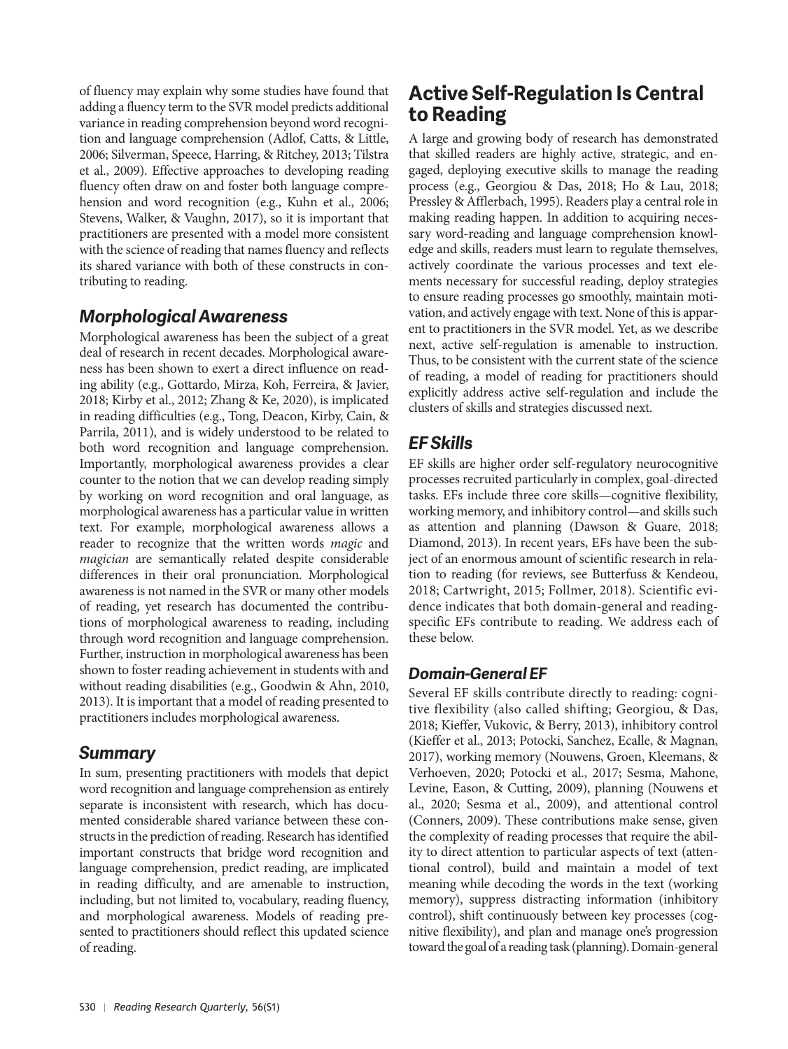of fluency may explain why some studies have found that adding a fluency term to the SVR model predicts additional variance in reading comprehension beyond word recognition and language comprehension (Adlof, Catts, & Little, 2006; Silverman, Speece, Harring, & Ritchey, 2013; Tilstra et al., 2009). Effective approaches to developing reading fluency often draw on and foster both language comprehension and word recognition (e.g., Kuhn et al., 2006; Stevens, Walker, & Vaughn, 2017), so it is important that practitioners are presented with a model more consistent with the science of reading that names fluency and reflects its shared variance with both of these constructs in contributing to reading.

### *Morphological Awareness*

Morphological awareness has been the subject of a great deal of research in recent decades. Morphological awareness has been shown to exert a direct influence on reading ability (e.g., Gottardo, Mirza, Koh, Ferreira, & Javier, 2018; Kirby et al., 2012; Zhang & Ke, 2020), is implicated in reading difficulties (e.g., Tong, Deacon, Kirby, Cain, & Parrila, 2011), and is widely understood to be related to both word recognition and language comprehension. Importantly, morphological awareness provides a clear counter to the notion that we can develop reading simply by working on word recognition and oral language, as morphological awareness has a particular value in written text. For example, morphological awareness allows a reader to recognize that the written words *magic* and *magician* are semantically related despite considerable differences in their oral pronunciation. Morphological awareness is not named in the SVR or many other models of reading, yet research has documented the contributions of morphological awareness to reading, including through word recognition and language comprehension. Further, instruction in morphological awareness has been shown to foster reading achievement in students with and without reading disabilities (e.g., Goodwin & Ahn, 2010, 2013). It is important that a model of reading presented to practitioners includes morphological awareness.

### *Summary*

In sum, presenting practitioners with models that depict word recognition and language comprehension as entirely separate is inconsistent with research, which has documented considerable shared variance between these constructs in the prediction of reading. Research has identified important constructs that bridge word recognition and language comprehension, predict reading, are implicated in reading difficulty, and are amenable to instruction, including, but not limited to, vocabulary, reading fluency, and morphological awareness. Models of reading presented to practitioners should reflect this updated science of reading.

# **Active Self-Regulation Is Central to Reading**

A large and growing body of research has demonstrated that skilled readers are highly active, strategic, and engaged, deploying executive skills to manage the reading process (e.g., Georgiou & Das, 2018; Ho & Lau, 2018; Pressley & Afflerbach, 1995). Readers play a central role in making reading happen. In addition to acquiring necessary word-reading and language comprehension knowledge and skills, readers must learn to regulate themselves, actively coordinate the various processes and text elements necessary for successful reading, deploy strategies to ensure reading processes go smoothly, maintain motivation, and actively engage with text. None of this is apparent to practitioners in the SVR model. Yet, as we describe next, active self-regulation is amenable to instruction. Thus, to be consistent with the current state of the science of reading, a model of reading for practitioners should explicitly address active self-regulation and include the clusters of skills and strategies discussed next.

## *EF Skills*

EF skills are higher order self-regulatory neurocognitive processes recruited particularly in complex, goal-directed tasks. EFs include three core skills—cognitive flexibility, working memory, and inhibitory control—and skills such as attention and planning (Dawson & Guare, 2018; Diamond, 2013). In recent years, EFs have been the subject of an enormous amount of scientific research in relation to reading (for reviews, see Butterfuss & Kendeou, 2018; Cartwright, 2015; Follmer, 2018). Scientific evidence indicates that both domain-general and readingspecific EFs contribute to reading. We address each of these below.

## *Domain-General EF*

Several EF skills contribute directly to reading: cognitive flexibility (also called shifting; Georgiou, & Das, 2018; Kieffer, Vukovic, & Berry, 2013), inhibitory control (Kieffer et al., 2013; Potocki, Sanchez, Ecalle, & Magnan, 2017), working memory (Nouwens, Groen, Kleemans, & Verhoeven, 2020; Potocki et al., 2017; Sesma, Mahone, Levine, Eason, & Cutting, 2009), planning (Nouwens et al., 2020; Sesma et al., 2009), and attentional control (Conners, 2009). These contributions make sense, given the complexity of reading processes that require the ability to direct attention to particular aspects of text (attentional control), build and maintain a model of text meaning while decoding the words in the text (working memory), suppress distracting information (inhibitory control), shift continuously between key processes (cognitive flexibility), and plan and manage one's progression toward the goal of a reading task (planning). Domain-general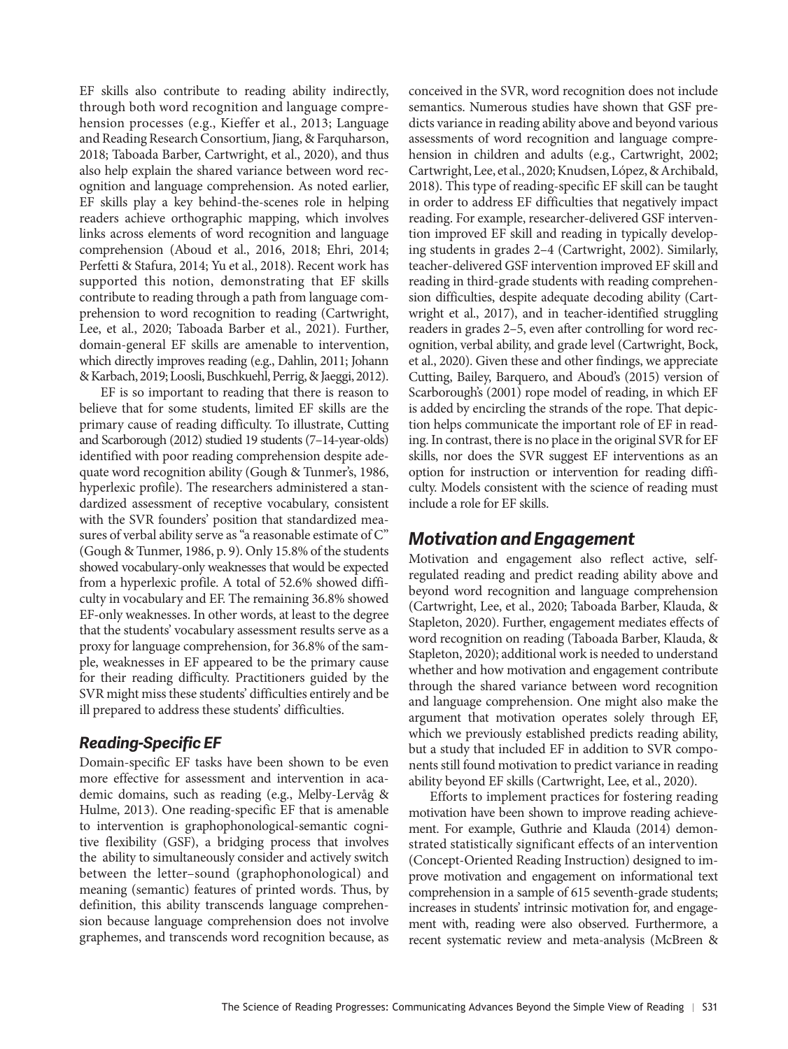EF skills also contribute to reading ability indirectly, through both word recognition and language comprehension processes (e.g., Kieffer et al., 2013; Language and Reading Research Consortium, Jiang, & Farquharson, 2018; Taboada Barber, Cartwright, et al., 2020), and thus also help explain the shared variance between word recognition and language comprehension. As noted earlier, EF skills play a key behind-the-scenes role in helping readers achieve orthographic mapping, which involves links across elements of word recognition and language comprehension (Aboud et al., 2016, 2018; Ehri, 2014; Perfetti & Stafura, 2014; Yu et al., 2018). Recent work has supported this notion, demonstrating that EF skills contribute to reading through a path from language comprehension to word recognition to reading (Cartwright, Lee, et al., 2020; Taboada Barber et al., 2021). Further, domain-general EF skills are amenable to intervention, which directly improves reading (e.g., Dahlin, 2011; Johann & Karbach, 2019; Loosli, Buschkuehl, Perrig, & Jaeggi, 2012).

EF is so important to reading that there is reason to believe that for some students, limited EF skills are the primary cause of reading difficulty. To illustrate, Cutting and Scarborough (2012) studied 19 students (7–14-year-olds) identified with poor reading comprehension despite adequate word recognition ability (Gough & Tunmer's, 1986, hyperlexic profile). The researchers administered a standardized assessment of receptive vocabulary, consistent with the SVR founders' position that standardized measures of verbal ability serve as "a reasonable estimate of C" (Gough & Tunmer, 1986, p. 9). Only 15.8% of the students showed vocabulary-only weaknesses that would be expected from a hyperlexic profile. A total of 52.6% showed difficulty in vocabulary and EF. The remaining 36.8% showed EF-only weaknesses. In other words, at least to the degree that the students' vocabulary assessment results serve as a proxy for language comprehension, for 36.8% of the sample, weaknesses in EF appeared to be the primary cause for their reading difficulty. Practitioners guided by the SVR might miss these students' difficulties entirely and be ill prepared to address these students' difficulties.

#### *Reading-Specific EF*

Domain-specific EF tasks have been shown to be even more effective for assessment and intervention in academic domains, such as reading (e.g., Melby-Lervåg & Hulme, 2013). One reading-specific EF that is amenable to intervention is graphophonological-semantic cognitive flexibility (GSF), a bridging process that involves the ability to simultaneously consider and actively switch between the letter–sound (graphophonological) and meaning (semantic) features of printed words. Thus, by definition, this ability transcends language comprehension because language comprehension does not involve graphemes, and transcends word recognition because, as

conceived in the SVR, word recognition does not include semantics. Numerous studies have shown that GSF predicts variance in reading ability above and beyond various assessments of word recognition and language comprehension in children and adults (e.g., Cartwright, 2002; Cartwright, Lee, et al., 2020; Knudsen, López, & Archibald, 2018). This type of reading-specific EF skill can be taught in order to address EF difficulties that negatively impact reading. For example, researcher-delivered GSF intervention improved EF skill and reading in typically developing students in grades 2–4 (Cartwright, 2002). Similarly, teacher-delivered GSF intervention improved EF skill and reading in third-grade students with reading comprehension difficulties, despite adequate decoding ability (Cart wright et al., 2017), and in teacher-identified struggling readers in grades 2–5, even after controlling for word recognition, verbal ability, and grade level (Cartwright, Bock, et al., 2020). Given these and other findings, we appreciate Cutting, Bailey, Barquero, and Aboud's (2015) version of Scarborough's (2001) rope model of reading, in which EF is added by encircling the strands of the rope. That depiction helps communicate the important role of EF in reading. In contrast, there is no place in the original SVR for EF skills, nor does the SVR suggest EF interventions as an option for instruction or intervention for reading difficulty. Models consistent with the science of reading must include a role for EF skills.

## *Motivation and Engagement*

Motivation and engagement also reflect active, selfregulated reading and predict reading ability above and beyond word recognition and language comprehension (Cartwright, Lee, et al., 2020; Taboada Barber, Klauda, & Stapleton, 2020). Further, engagement mediates effects of word recognition on reading (Taboada Barber, Klauda, & Stapleton, 2020); additional work is needed to understand whether and how motivation and engagement contribute through the shared variance between word recognition and language comprehension. One might also make the argument that motivation operates solely through EF, which we previously established predicts reading ability, but a study that included EF in addition to SVR components still found motivation to predict variance in reading ability beyond EF skills (Cartwright, Lee, et al., 2020).

Efforts to implement practices for fostering reading motivation have been shown to improve reading achievement. For example, Guthrie and Klauda (2014) demonstrated statistically significant effects of an intervention (Concept-Oriented Reading Instruction) designed to im prove motivation and engagement on informational text comprehension in a sample of 615 seventh-grade students; increases in students' intrinsic motivation for, and engagement with, reading were also observed. Furthermore, a recent systematic review and meta-analysis (McBreen &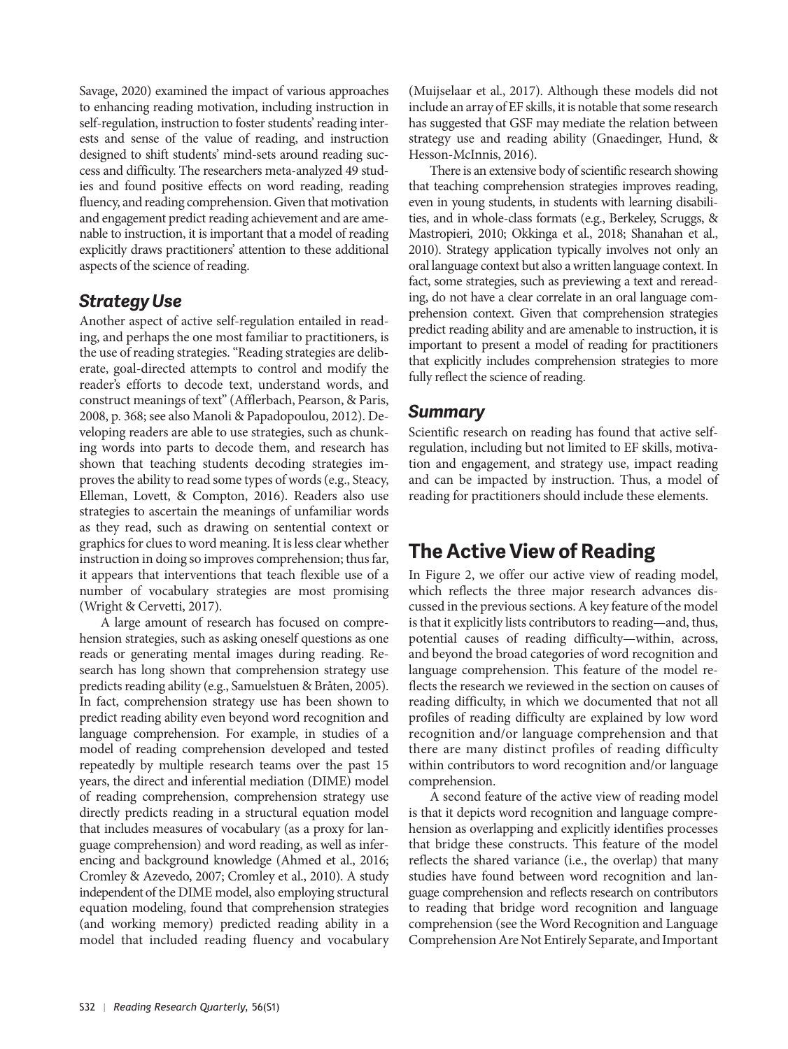Savage, 2020) examined the impact of various approaches to enhancing reading motivation, including instruction in self-regulation, instruction to foster students' reading interests and sense of the value of reading, and instruction designed to shift students' mind-sets around reading success and difficulty. The researchers meta-analyzed 49 studies and found positive effects on word reading, reading fluency, and reading comprehension. Given that motivation and engagement predict reading achievement and are amenable to instruction, it is important that a model of reading explicitly draws practitioners' attention to these additional aspects of the science of reading.

## *Strategy Use*

Another aspect of active self-regulation entailed in reading, and perhaps the one most familiar to practitioners, is the use of reading strategies. "Reading strategies are deliberate, goal-directed attempts to control and modify the reader's efforts to decode text, understand words, and construct meanings of text" (Afflerbach, Pearson, & Paris, 2008, p. 368; see also Manoli & Papadopoulou, 2012). De veloping readers are able to use strategies, such as chunking words into parts to decode them, and research has shown that teaching students decoding strategies im proves the ability to read some types of words (e.g., Steacy, Elleman, Lovett, & Compton, 2016). Readers also use strategies to ascertain the meanings of unfamiliar words as they read, such as drawing on sentential context or graphics for clues to word meaning. It is less clear whether instruction in doing so improves comprehension; thus far, it appears that interventions that teach flexible use of a number of vocabulary strategies are most promising (Wright & Cervetti, 2017).

A large amount of research has focused on comprehension strategies, such as asking oneself questions as one reads or generating mental images during reading. Research has long shown that comprehension strategy use predicts reading ability (e.g., Samuelstuen & Bråten, 2005). In fact, comprehension strategy use has been shown to predict reading ability even beyond word recognition and language comprehension. For example, in studies of a model of reading comprehension developed and tested repeatedly by multiple research teams over the past 15 years, the direct and inferential mediation (DIME) model of reading comprehension, comprehension strategy use directly predicts reading in a structural equation model that includes measures of vocabulary (as a proxy for language comprehension) and word reading, as well as inferencing and background knowledge (Ahmed et al., 2016; Cromley & Azevedo, 2007; Cromley et al., 2010). A study independent of the DIME model, also employing structural equation modeling, found that comprehension strategies (and working memory) predicted reading ability in a model that included reading fluency and vocabulary

(Muijselaar et al., 2017). Although these models did not include an array of EF skills, it is notable that some research has suggested that GSF may mediate the relation between strategy use and reading ability (Gnaedinger, Hund, & Hesson-McInnis, 2016).

There is an extensive body of scientific research showing that teaching comprehension strategies improves reading, even in young students, in students with learning disabilities, and in whole-class formats (e.g., Berkeley, Scruggs, & Mastropieri, 2010; Okkinga et al., 2018; Shanahan et al., 2010). Strategy application typically involves not only an oral language context but also a written language context. In fact, some strategies, such as previewing a text and rereading, do not have a clear correlate in an oral language comprehension context. Given that comprehension strategies predict reading ability and are amenable to instruction, it is important to present a model of reading for practitioners that explicitly includes comprehension strategies to more fully reflect the science of reading.

### *Summary*

Scientific research on reading has found that active selfregulation, including but not limited to EF skills, motivation and engagement, and strategy use, impact reading and can be impacted by instruction. Thus, a model of reading for practitioners should include these elements.

# **The Active View of Reading**

In Figure 2, we offer our active view of reading model, which reflects the three major research advances discussed in the previous sections. A key feature of the model is that it explicitly lists contributors to reading—and, thus, potential causes of reading difficulty—within, across, and beyond the broad categories of word recognition and language comprehension. This feature of the model reflects the research we reviewed in the section on causes of reading difficulty, in which we documented that not all profiles of reading difficulty are explained by low word recognition and/or language comprehension and that there are many distinct profiles of reading difficulty within contributors to word recognition and/or language comprehension.

A second feature of the active view of reading model is that it depicts word recognition and language comprehension as overlapping and explicitly identifies processes that bridge these constructs. This feature of the model reflects the shared variance (i.e., the overlap) that many studies have found between word recognition and language comprehension and reflects research on contributors to reading that bridge word recognition and language comprehension (see the Word Recognition and Language Comprehension Are Not Entirely Separate, and Important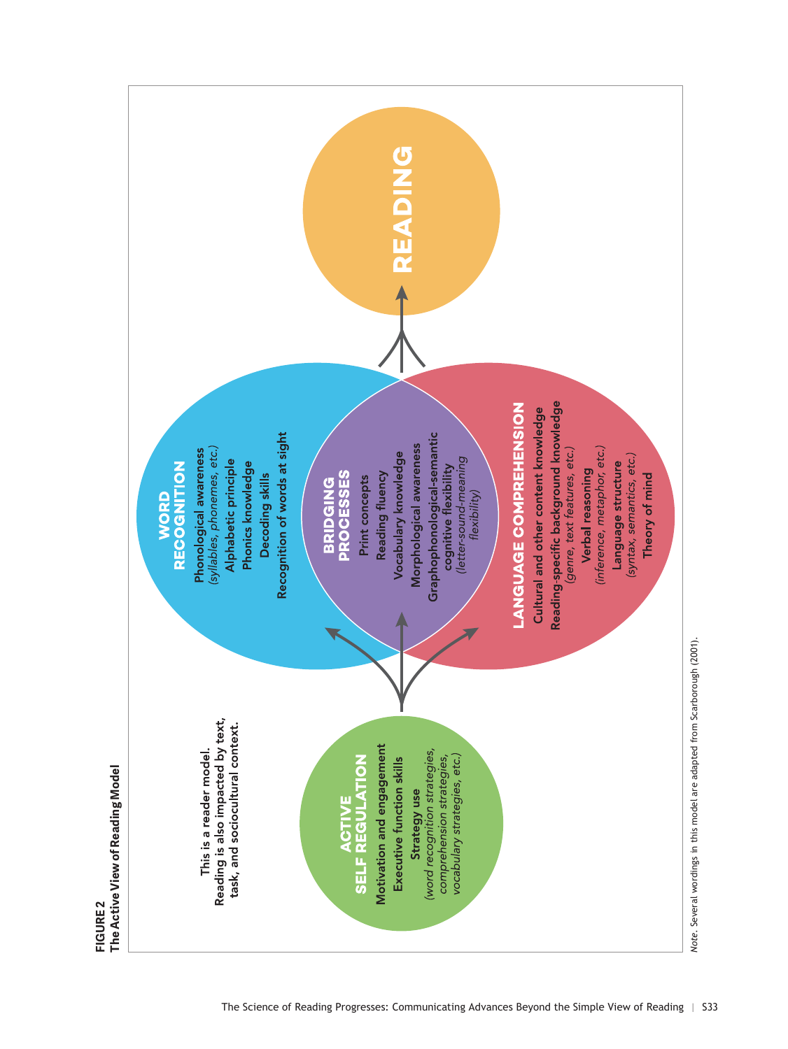

**FIGURE 2**

FIGURE<sub>2</sub>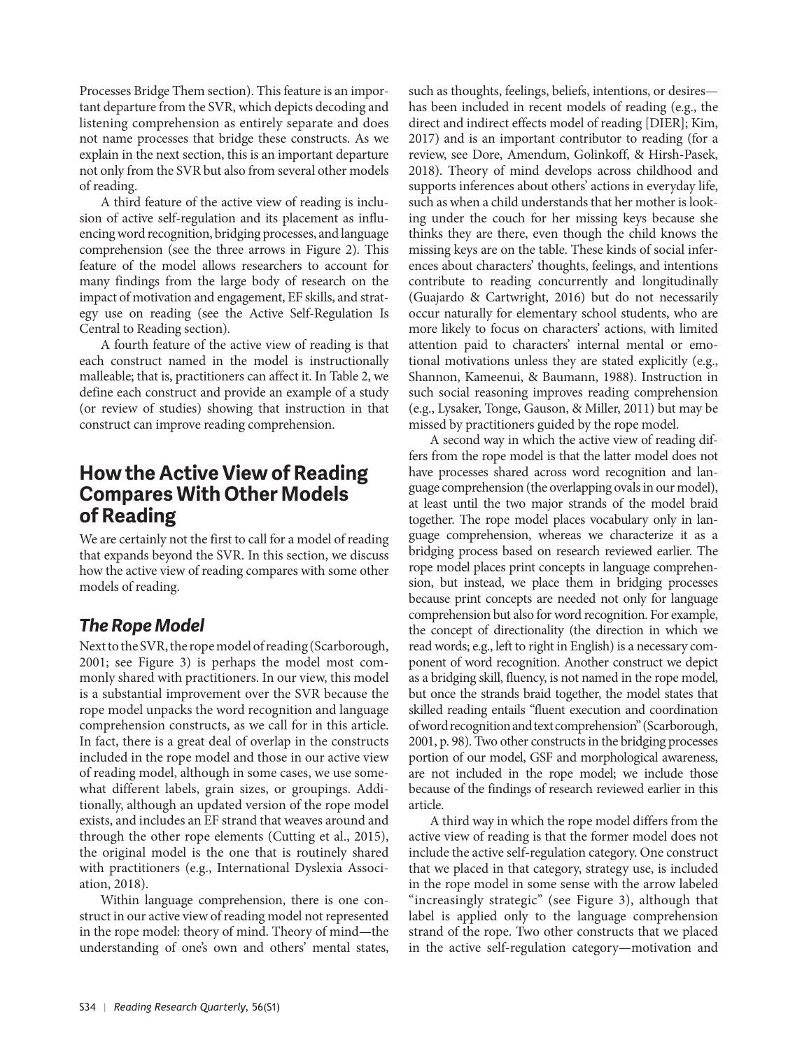Processes Bridge Them section). This feature is an important departure from the SVR, which depicts decoding and listening comprehension as entirely separate and does not name processes that bridge these constructs. As we explain in the next section, this is an important departure not only from the SVR but also from several other models of reading.

A third feature of the active view of reading is inclusion of active self-regulation and its placement as influencing word recognition, bridging processes, and language comprehension (see the three arrows in Figure 2). This feature of the model allows researchers to account for many findings from the large body of research on the impact of motivation and engagement, EF skills, and strategy use on reading (see the Active Self-Regulation Is Central to Reading section).

A fourth feature of the active view of reading is that each construct named in the model is instructionally malleable; that is, practitioners can affect it. In Table 2, we define each construct and provide an example of a study (or review of studies) showing that instruction in that construct can improve reading comprehension.

## **How the Active View of Reading Compares With Other Models of Reading**

We are certainly not the first to call for a model of reading that expands beyond the SVR. In this section, we discuss how the active view of reading compares with some other models of reading.

## *The Rope Model*

Next to the SVR, the rope model of reading (Scarborough, 2001; see Figure 3) is perhaps the model most commonly shared with practitioners. In our view, this model is a substantial improvement over the SVR because the rope model unpacks the word recognition and language comprehension constructs, as we call for in this article. In fact, there is a great deal of overlap in the constructs included in the rope model and those in our active view of reading model, although in some cases, we use somewhat different labels, grain sizes, or groupings. Additionally, although an updated version of the rope model exists, and includes an EF strand that weaves around and through the other rope elements (Cutting et al., 2015), the original model is the one that is routinely shared with practitioners (e.g., International Dyslexia Association, 2018).

Within language comprehension, there is one construct in our active view of reading model not represented in the rope model: theory of mind. Theory of mind—the understanding of one's own and others' mental states,

such as thoughts, feelings, beliefs, intentions, or desires has been included in recent models of reading (e.g., the direct and indirect effects model of reading [DIER]; Kim, 2017) and is an important contributor to reading (for a review, see Dore, Amendum, Golinkoff, & Hirsh-Pasek, 2018). Theory of mind develops across childhood and supports inferences about others' actions in everyday life, such as when a child understands that her mother is looking under the couch for her missing keys because she thinks they are there, even though the child knows the missing keys are on the table. These kinds of social inferences about characters' thoughts, feelings, and intentions contribute to reading concurrently and longitudinally (Guajardo & Cartwright, 2016) but do not necessarily occur naturally for elementary school students, who are more likely to focus on characters' actions, with limited attention paid to characters' internal mental or emotional motivations unless they are stated explicitly (e.g., Shannon, Kameenui, & Baumann, 1988). Instruction in such social reasoning improves reading comprehension (e.g., Lysaker, Tonge, Gauson, & Miller, 2011) but may be missed by practitioners guided by the rope model.

A second way in which the active view of reading differs from the rope model is that the latter model does not have processes shared across word recognition and language comprehension (the overlapping ovals in our model), at least until the two major strands of the model braid together. The rope model places vocabulary only in language comprehension, whereas we characterize it as a bridging process based on research reviewed earlier. The rope model places print concepts in language comprehension, but instead, we place them in bridging processes because print concepts are needed not only for language comprehension but also for word recognition. For example, the concept of directionality (the direction in which we read words; e.g., left to right in English) is a necessary component of word recognition. Another construct we depict as a bridging skill, fluency, is not named in the rope model, but once the strands braid together, the model states that skilled reading entails "fluent execution and coordination of word recognition and text comprehension" (Scarborough, 2001, p. 98). Two other constructs in the bridging processes portion of our model, GSF and morphological awareness, are not included in the rope model; we include those because of the findings of research reviewed earlier in this article.

A third way in which the rope model differs from the active view of reading is that the former model does not include the active self-regulation category. One construct that we placed in that category, strategy use, is included in the rope model in some sense with the arrow labeled "increasingly strategic" (see Figure 3), although that label is applied only to the language comprehension strand of the rope. Two other constructs that we placed in the active self-regulation category—motivation and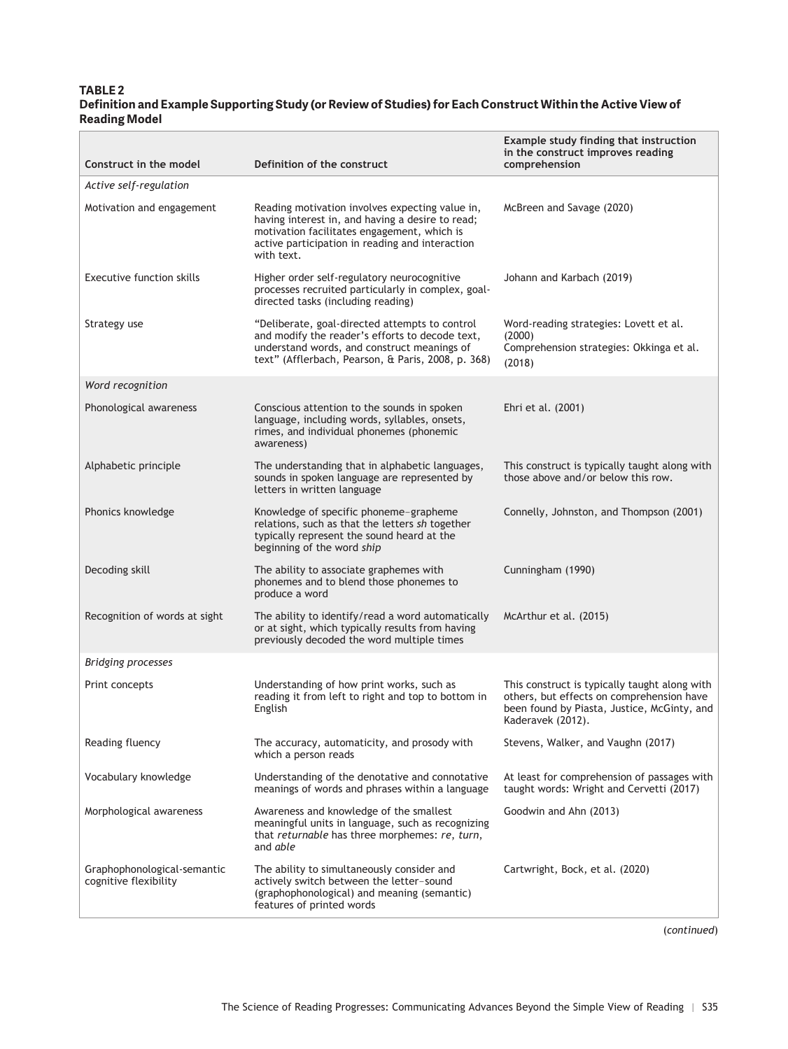#### **TABLE 2 Definition and Example Supporting Study (or Review of Studies) for Each Construct Within the Active View of Reading Model**

| Construct in the model                               | Definition of the construct                                                                                                                                                                                         | Example study finding that instruction<br>in the construct improves reading<br>comprehension                                                                   |
|------------------------------------------------------|---------------------------------------------------------------------------------------------------------------------------------------------------------------------------------------------------------------------|----------------------------------------------------------------------------------------------------------------------------------------------------------------|
| Active self-regulation                               |                                                                                                                                                                                                                     |                                                                                                                                                                |
| Motivation and engagement                            | Reading motivation involves expecting value in,<br>having interest in, and having a desire to read;<br>motivation facilitates engagement, which is<br>active participation in reading and interaction<br>with text. | McBreen and Savage (2020)                                                                                                                                      |
| Executive function skills                            | Higher order self-regulatory neurocognitive<br>processes recruited particularly in complex, goal-<br>directed tasks (including reading)                                                                             | Johann and Karbach (2019)                                                                                                                                      |
| Strategy use                                         | "Deliberate, goal-directed attempts to control<br>and modify the reader's efforts to decode text,<br>understand words, and construct meanings of<br>text" (Afflerbach, Pearson, & Paris, 2008, p. 368)              | Word-reading strategies: Lovett et al.<br>(2000)<br>Comprehension strategies: Okkinga et al.<br>(2018)                                                         |
| Word recognition                                     |                                                                                                                                                                                                                     |                                                                                                                                                                |
| Phonological awareness                               | Conscious attention to the sounds in spoken<br>language, including words, syllables, onsets,<br>rimes, and individual phonemes (phonemic<br>awareness)                                                              | Ehri et al. (2001)                                                                                                                                             |
| Alphabetic principle                                 | The understanding that in alphabetic languages,<br>sounds in spoken language are represented by<br>letters in written language                                                                                      | This construct is typically taught along with<br>those above and/or below this row.                                                                            |
| Phonics knowledge                                    | Knowledge of specific phoneme-grapheme<br>relations, such as that the letters sh together<br>typically represent the sound heard at the<br>beginning of the word ship                                               | Connelly, Johnston, and Thompson (2001)                                                                                                                        |
| Decoding skill                                       | The ability to associate graphemes with<br>phonemes and to blend those phonemes to<br>produce a word                                                                                                                | Cunningham (1990)                                                                                                                                              |
| Recognition of words at sight                        | The ability to identify/read a word automatically<br>or at sight, which typically results from having<br>previously decoded the word multiple times                                                                 | McArthur et al. (2015)                                                                                                                                         |
| <b>Bridging processes</b>                            |                                                                                                                                                                                                                     |                                                                                                                                                                |
| Print concepts                                       | Understanding of how print works, such as<br>reading it from left to right and top to bottom in<br>English                                                                                                          | This construct is typically taught along with<br>others, but effects on comprehension have<br>been found by Piasta, Justice, McGinty, and<br>Kaderavek (2012). |
| Reading fluency                                      | The accuracy, automaticity, and prosody with<br>which a person reads                                                                                                                                                | Stevens, Walker, and Vaughn (2017)                                                                                                                             |
| Vocabulary knowledge                                 | Understanding of the denotative and connotative<br>meanings of words and phrases within a language                                                                                                                  | At least for comprehension of passages with<br>taught words: Wright and Cervetti (2017)                                                                        |
| Morphological awareness                              | Awareness and knowledge of the smallest<br>meaningful units in language, such as recognizing<br>that returnable has three morphemes: re, turn,<br>and able                                                          | Goodwin and Ahn (2013)                                                                                                                                         |
| Graphophonological-semantic<br>cognitive flexibility | The ability to simultaneously consider and<br>actively switch between the letter-sound<br>(graphophonological) and meaning (semantic)<br>features of printed words                                                  | Cartwright, Bock, et al. (2020)                                                                                                                                |

(*continued*)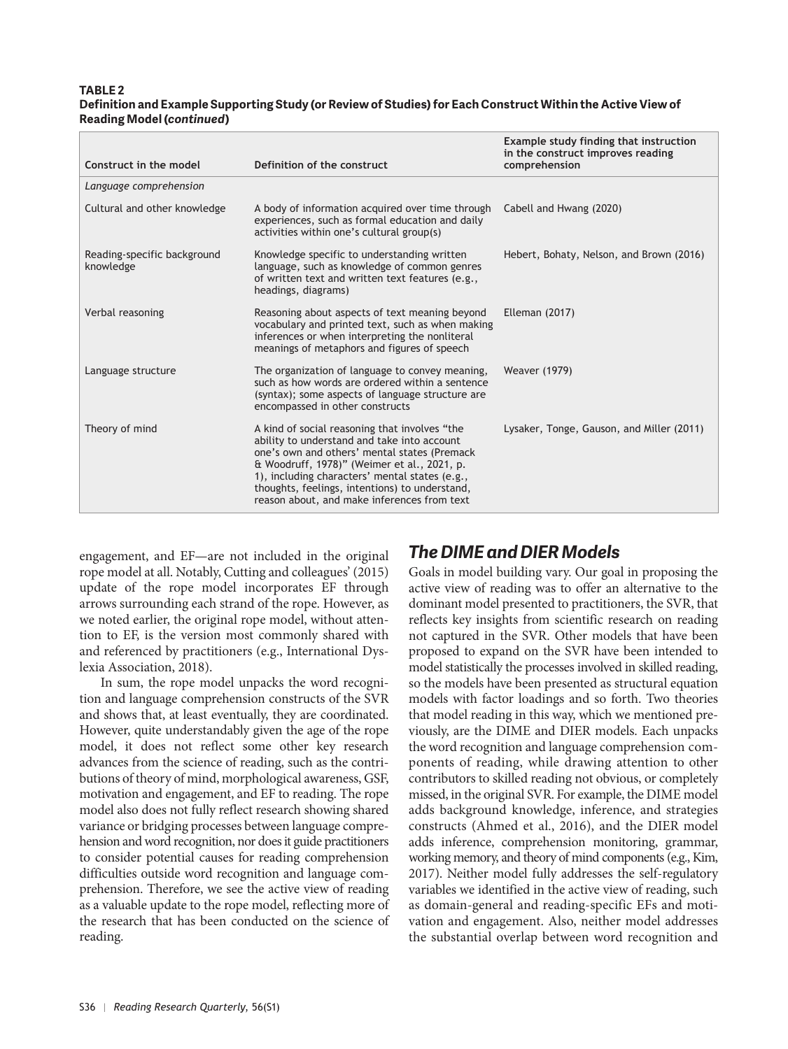#### **TABLE 2 Definition and Example Supporting Study (or Review of Studies) for Each Construct Within the Active View of Reading Model (***continued***)**

| Construct in the model                   | Definition of the construct                                                                                                                                                                                                                                                                                                                    | Example study finding that instruction<br>in the construct improves reading<br>comprehension |
|------------------------------------------|------------------------------------------------------------------------------------------------------------------------------------------------------------------------------------------------------------------------------------------------------------------------------------------------------------------------------------------------|----------------------------------------------------------------------------------------------|
| Language comprehension                   |                                                                                                                                                                                                                                                                                                                                                |                                                                                              |
| Cultural and other knowledge             | A body of information acquired over time through<br>experiences, such as formal education and daily<br>activities within one's cultural group(s)                                                                                                                                                                                               | Cabell and Hwang (2020)                                                                      |
| Reading-specific background<br>knowledge | Knowledge specific to understanding written<br>language, such as knowledge of common genres<br>of written text and written text features (e.g.,<br>headings, diagrams)                                                                                                                                                                         | Hebert, Bohaty, Nelson, and Brown (2016)                                                     |
| Verbal reasoning                         | Reasoning about aspects of text meaning beyond<br>vocabulary and printed text, such as when making<br>inferences or when interpreting the nonliteral<br>meanings of metaphors and figures of speech                                                                                                                                            | <b>Elleman (2017)</b>                                                                        |
| Language structure                       | The organization of language to convey meaning,<br>such as how words are ordered within a sentence<br>(syntax); some aspects of language structure are<br>encompassed in other constructs                                                                                                                                                      | <b>Weaver (1979)</b>                                                                         |
| Theory of mind                           | A kind of social reasoning that involves "the<br>ability to understand and take into account<br>one's own and others' mental states (Premack<br>& Woodruff, 1978)" (Weimer et al., 2021, p.<br>1), including characters' mental states (e.g.,<br>thoughts, feelings, intentions) to understand,<br>reason about, and make inferences from text | Lysaker, Tonge, Gauson, and Miller (2011)                                                    |

engagement, and EF—are not included in the original rope model at all. Notably, Cutting and colleagues' (2015) update of the rope model incorporates EF through arrows surrounding each strand of the rope. However, as we noted earlier, the original rope model, without attention to EF, is the version most commonly shared with and referenced by practitioners (e.g., International Dyslexia Association, 2018).

In sum, the rope model unpacks the word recognition and language comprehension constructs of the SVR and shows that, at least eventually, they are coordinated. However, quite understandably given the age of the rope model, it does not reflect some other key research advances from the science of reading, such as the contributions of theory of mind, morphological awareness, GSF, motivation and engagement, and EF to reading. The rope model also does not fully reflect research showing shared variance or bridging processes between language comprehension and word recognition, nor does it guide practitioners to consider potential causes for reading comprehension difficulties outside word recognition and language comprehension. Therefore, we see the active view of reading as a valuable update to the rope model, reflecting more of the research that has been conducted on the science of reading.

# *The DIME and DIER Models*

Goals in model building vary. Our goal in proposing the active view of reading was to offer an alternative to the dominant model presented to practitioners, the SVR, that reflects key insights from scientific research on reading not captured in the SVR. Other models that have been proposed to expand on the SVR have been intended to model statistically the processes involved in skilled reading, so the models have been presented as structural equation models with factor loadings and so forth. Two theories that model reading in this way, which we mentioned previously, are the DIME and DIER models. Each unpacks the word recognition and language comprehension components of reading, while drawing attention to other contributors to skilled reading not obvious, or completely missed, in the original SVR. For example, the DIME model adds background knowledge, inference, and strategies constructs (Ahmed et al., 2016), and the DIER model adds inference, comprehension monitoring, grammar, working memory, and theory of mind components (e.g., Kim, 2017). Neither model fully addresses the self-regulatory variables we identified in the active view of reading, such as domain-general and reading-specific EFs and motivation and engagement. Also, neither model addresses the substantial overlap between word recognition and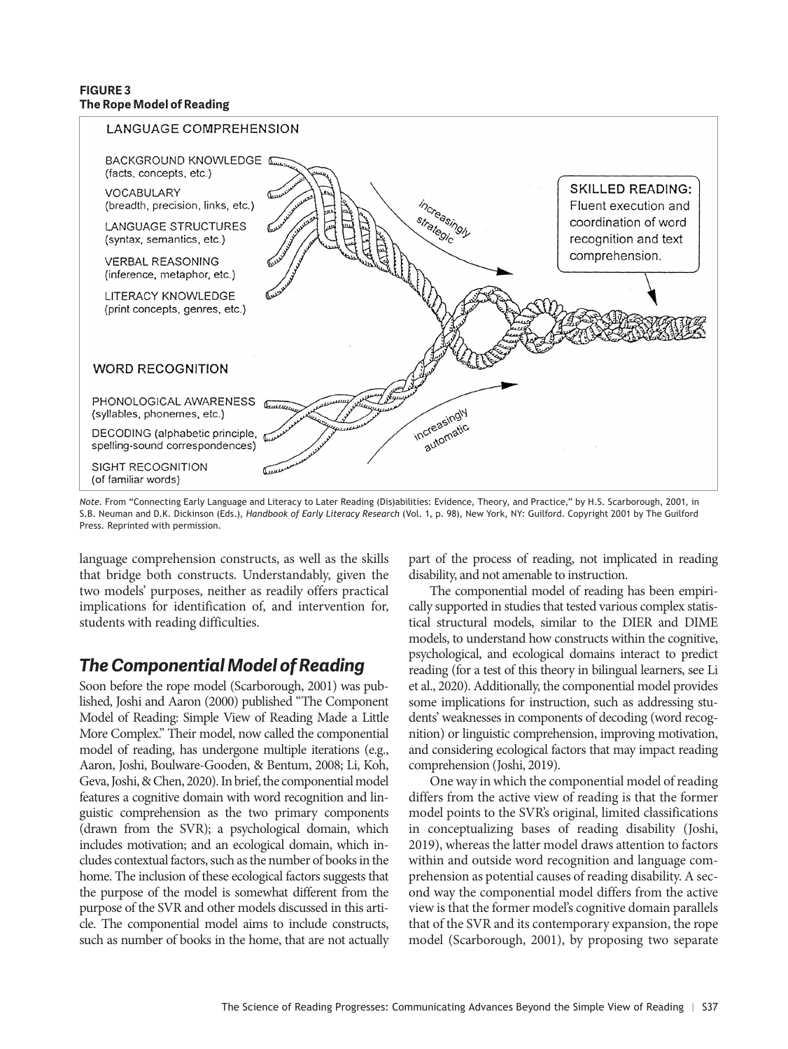#### **FIGURE 3 The Rope Model of Reading**



*Note*. From "Connecting Early Language and Literacy to Later Reading (Dis)abilities: Evidence, Theory, and Practice," by H.S. Scarborough, 2001, in S.B. Neuman and D.K. Dickinson (Eds.), *Handbook of Early Literacy Research* (Vol. 1, p. 98), New York, NY: Guilford. Copyright 2001 by The Guilford Press. Reprinted with permission.

language comprehension constructs, as well as the skills that bridge both constructs. Understandably, given the two models' purposes, neither as readily offers practical implications for identification of, and intervention for, students with reading difficulties.

## *The Componential Model of Reading*

Soon before the rope model (Scarborough, 2001) was published, Joshi and Aaron (2000) published "The Component Model of Reading: Simple View of Reading Made a Little More Complex." Their model, now called the componential model of reading, has undergone multiple iterations (e.g., Aaron, Joshi, Boulware-Gooden, & Bentum, 2008; Li, Koh, Geva, Joshi, & Chen, 2020). In brief, the componential model features a cognitive domain with word recognition and linguistic comprehension as the two primary components (drawn from the SVR); a psychological domain, which includes motivation; and an ecological domain, which includes contextual factors, such as the number of books in the home. The inclusion of these ecological factors suggests that the purpose of the model is somewhat different from the purpose of the SVR and other models discussed in this article. The componential model aims to include constructs, such as number of books in the home, that are not actually part of the process of reading, not implicated in reading disability, and not amenable to instruction.

The componential model of reading has been empirically supported in studies that tested various complex statistical structural models, similar to the DIER and DIME models, to understand how constructs within the cognitive, psychological, and ecological domains interact to predict reading (for a test of this theory in bilingual learners, see Li et al., 2020). Additionally, the componential model provides some implications for instruction, such as addressing students' weaknesses in components of decoding (word recognition) or linguistic comprehension, improving motivation, and considering ecological factors that may impact reading comprehension (Joshi, 2019).

One way in which the componential model of reading differs from the active view of reading is that the former model points to the SVR's original, limited classifications in conceptualizing bases of reading disability (Joshi, 2019), whereas the latter model draws attention to factors within and outside word recognition and language comprehension as potential causes of reading disability. A second way the componential model differs from the active view is that the former model's cognitive domain parallels that of the SVR and its contemporary expansion, the rope model (Scarborough, 2001), by proposing two separate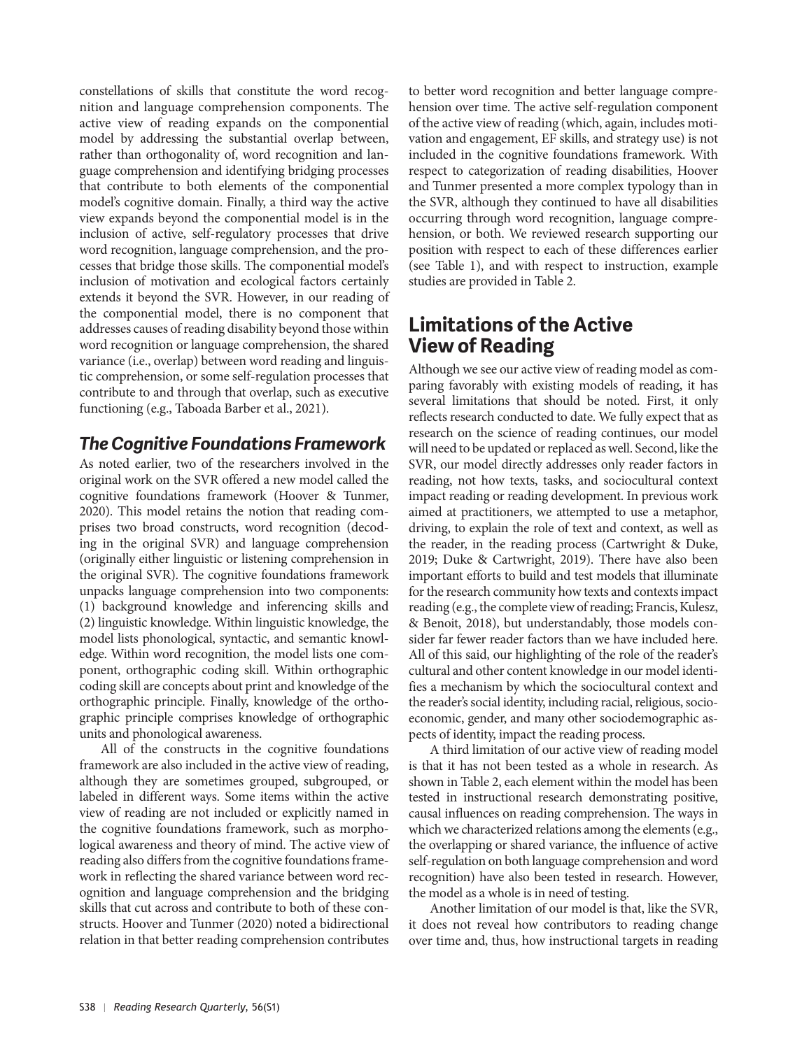constellations of skills that constitute the word recognition and language comprehension components. The active view of reading expands on the componential model by addressing the substantial overlap between, rather than orthogonality of, word recognition and language comprehension and identifying bridging processes that contribute to both elements of the componential model's cognitive domain. Finally, a third way the active view expands beyond the componential model is in the inclusion of active, self-regulatory processes that drive word recognition, language comprehension, and the processes that bridge those skills. The componential model's inclusion of motivation and ecological factors certainly extends it beyond the SVR. However, in our reading of the componential model, there is no component that addresses causes of reading disability beyond those within word recognition or language comprehension, the shared variance (i.e., overlap) between word reading and linguistic comprehension, or some self-regulation processes that contribute to and through that overlap, such as executive functioning (e.g., Taboada Barber et al., 2021).

## *The Cognitive Foundations Framework*

As noted earlier, two of the researchers involved in the original work on the SVR offered a new model called the cognitive foundations framework (Hoover & Tunmer, 2020). This model retains the notion that reading comprises two broad constructs, word recognition (decoding in the original SVR) and language comprehension (originally either linguistic or listening comprehension in the original SVR). The cognitive foundations framework unpacks language comprehension into two components: (1) background knowledge and inferencing skills and (2) linguistic knowledge. Within linguistic knowledge, the model lists phonological, syntactic, and semantic knowledge. Within word recognition, the model lists one component, orthographic coding skill. Within orthographic coding skill are concepts about print and knowledge of the orthographic principle. Finally, knowledge of the orthographic principle comprises knowledge of orthographic units and phonological awareness.

All of the constructs in the cognitive foundations framework are also included in the active view of reading, although they are sometimes grouped, subgrouped, or labeled in different ways. Some items within the active view of reading are not included or explicitly named in the cognitive foundations framework, such as morphological awareness and theory of mind. The active view of reading also differs from the cognitive foundations framework in reflecting the shared variance between word recognition and language comprehension and the bridging skills that cut across and contribute to both of these constructs. Hoover and Tunmer (2020) noted a bidirectional relation in that better reading comprehension contributes

to better word recognition and better language comprehension over time. The active self-regulation component of the active view of reading (which, again, includes motivation and engagement, EF skills, and strategy use) is not included in the cognitive foundations framework. With respect to categorization of reading disabilities, Hoover and Tunmer presented a more complex typology than in the SVR, although they continued to have all disabilities occurring through word recognition, language comprehension, or both. We reviewed research supporting our position with respect to each of these differences earlier (see Table 1), and with respect to instruction, example studies are provided in Table 2.

# **Limitations of the Active View of Reading**

Although we see our active view of reading model as comparing favorably with existing models of reading, it has several limitations that should be noted. First, it only reflects research conducted to date. We fully expect that as research on the science of reading continues, our model will need to be updated or replaced as well. Second, like the SVR, our model directly addresses only reader factors in reading, not how texts, tasks, and sociocultural context impact reading or reading development. In previous work aimed at practitioners, we attempted to use a metaphor, driving, to explain the role of text and context, as well as the reader, in the reading process (Cartwright & Duke, 2019; Duke & Cartwright, 2019). There have also been important efforts to build and test models that illuminate for the research community how texts and contexts impact reading (e.g., the complete view of reading; Francis, Kulesz, & Benoit, 2018), but understandably, those models consider far fewer reader factors than we have included here. All of this said, our highlighting of the role of the reader's cultural and other content knowledge in our model identifies a mechanism by which the sociocultural context and the reader's social identity, including racial, religious, socio economic, gender, and many other sociodemographic aspects of identity, impact the reading process.

A third limitation of our active view of reading model is that it has not been tested as a whole in research. As shown in Table 2, each element within the model has been tested in instructional research demonstrating positive, causal influences on reading comprehension. The ways in which we characterized relations among the elements (e.g., the overlapping or shared variance, the influence of active self-regulation on both language comprehension and word recognition) have also been tested in research. However, the model as a whole is in need of testing.

Another limitation of our model is that, like the SVR, it does not reveal how contributors to reading change over time and, thus, how instructional targets in reading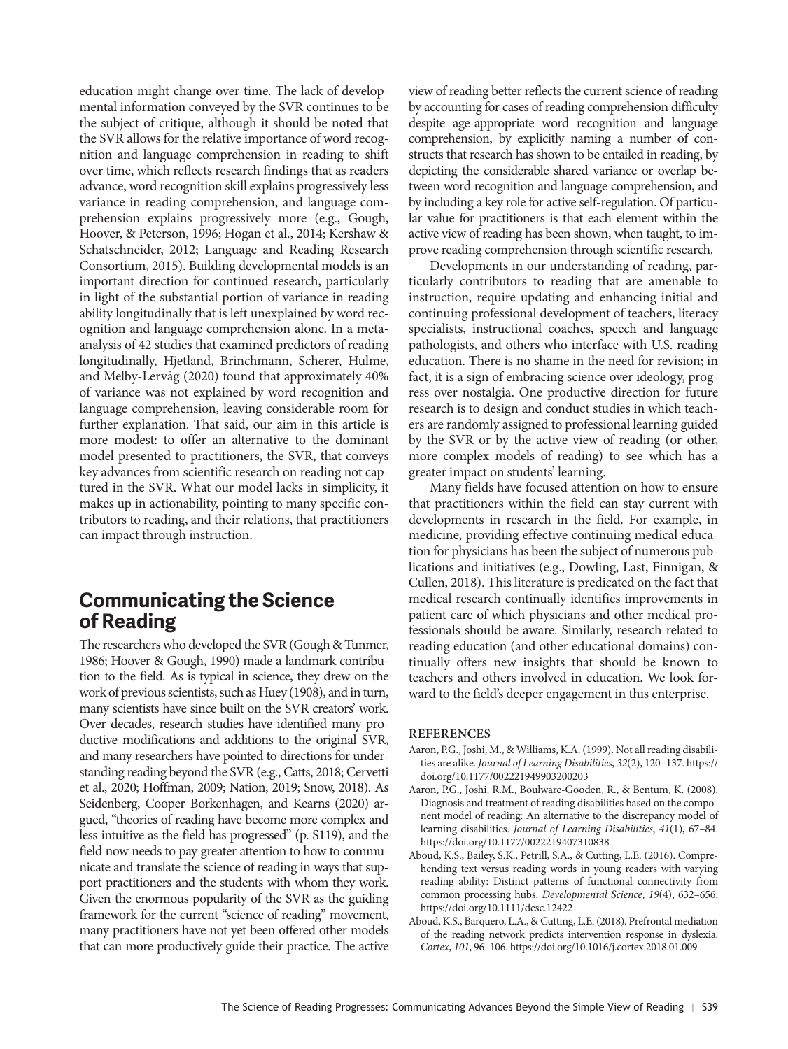education might change over time. The lack of developmental information conveyed by the SVR continues to be the subject of critique, although it should be noted that the SVR allows for the relative importance of word recognition and language comprehension in reading to shift over time, which reflects research findings that as readers advance, word recognition skill explains progressively less variance in reading comprehension, and language comprehension explains progressively more (e.g., Gough, Hoover, & Peterson, 1996; Hogan et al., 2014; Kershaw & Schatschneider, 2012; Language and Reading Research Consortium, 2015). Building developmental models is an important direction for continued research, particularly in light of the substantial portion of variance in reading ability longitudinally that is left unexplained by word recognition and language comprehension alone. In a metaanalysis of 42 studies that examined predictors of reading longitudinally, Hjetland, Brinchmann, Scherer, Hulme, and Melby-Lervåg (2020) found that approximately 40% of variance was not explained by word recognition and language comprehension, leaving considerable room for further explanation. That said, our aim in this article is more modest: to offer an alternative to the dominant model presented to practitioners, the SVR, that conveys key advances from scientific research on reading not captured in the SVR. What our model lacks in simplicity, it makes up in actionability, pointing to many specific contributors to reading, and their relations, that practitioners can impact through instruction.

## **Communicating the Science of Reading**

The researchers who developed the SVR (Gough & Tunmer, 1986; Hoover & Gough, 1990) made a landmark contribution to the field. As is typical in science, they drew on the work of previous scientists, such as Huey (1908), and in turn, many scientists have since built on the SVR creators' work. Over decades, research studies have identified many productive modifications and additions to the original SVR, and many researchers have pointed to directions for understanding reading beyond the SVR (e.g., Catts, 2018; Cervetti et al., 2020; Hoffman, 2009; Nation, 2019; Snow, 2018). As Seidenberg, Cooper Borkenhagen, and Kearns (2020) ar gued, "theories of reading have become more complex and less intuitive as the field has progressed" (p. S119), and the field now needs to pay greater attention to how to communicate and translate the science of reading in ways that support practitioners and the students with whom they work. Given the enormous popularity of the SVR as the guiding framework for the current "science of reading" movement, many practitioners have not yet been offered other models that can more productively guide their practice. The active

view of reading better reflects the current science of reading by accounting for cases of reading comprehension difficulty despite age-appropriate word recognition and language comprehension, by explicitly naming a number of constructs that research has shown to be entailed in reading, by depicting the considerable shared variance or overlap between word recognition and language comprehension, and by including a key role for active self-regulation. Of particular value for practitioners is that each element within the active view of reading has been shown, when taught, to im prove reading comprehension through scientific research.

Developments in our understanding of reading, particularly contributors to reading that are amenable to instruction, require updating and enhancing initial and continuing professional development of teachers, literacy specialists, instructional coaches, speech and language pathologists, and others who interface with U.S. reading education. There is no shame in the need for revision; in fact, it is a sign of embracing science over ideology, progress over nostalgia. One productive direction for future research is to design and conduct studies in which teachers are randomly assigned to professional learning guided by the SVR or by the active view of reading (or other, more complex models of reading) to see which has a greater impact on students' learning.

Many fields have focused attention on how to ensure that practitioners within the field can stay current with developments in research in the field. For example, in medicine, providing effective continuing medical education for physicians has been the subject of numerous publications and initiatives (e.g., Dowling, Last, Finnigan, & Cullen, 2018). This literature is predicated on the fact that medical research continually identifies improvements in patient care of which physicians and other medical professionals should be aware. Similarly, research related to reading education (and other educational domains) continually offers new insights that should be known to teachers and others involved in education. We look forward to the field's deeper engagement in this enterprise.

#### **REFERENCES**

- Aaron, P.G., Joshi, M., & Williams, K.A. (1999). Not all reading disabilities are alike. *Journal of Learning Disabilities*, *32*(2), 120–137. [https://](https://doi.org/10.1177/002221949903200203) [doi.org/10.1177/002221949903200203](https://doi.org/10.1177/002221949903200203)
- Aaron, P.G., Joshi, R.M., Boulware-Gooden, R., & Bentum, K. (2008). Diagnosis and treatment of reading disabilities based on the component model of reading: An alternative to the discrepancy model of learning disabilities. *Journal of Learning Disabilities*, *41*(1), 67–84. <https://doi.org/10.1177/0022219407310838>
- Aboud, K.S., Bailey, S.K., Petrill, S.A., & Cutting, L.E. (2016). Comprehending text versus reading words in young readers with varying reading ability: Distinct patterns of functional connectivity from common processing hubs. *Developmental Science*, *19*(4), 632–656. <https://doi.org/10.1111/desc.12422>
- Aboud, K.S., Barquero, L.A., & Cutting, L.E. (2018). Prefrontal mediation of the reading network predicts intervention response in dyslexia. *Cortex*, *101*, 96–106. <https://doi.org/10.1016/j.cortex.2018.01.009>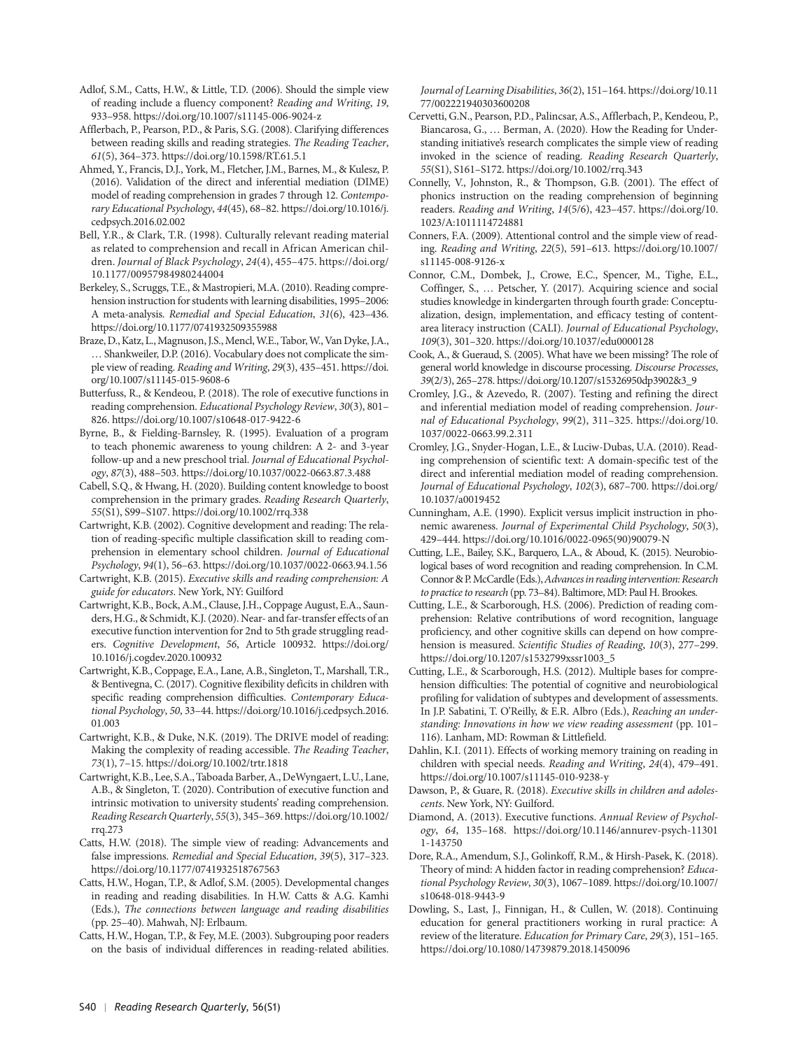- Adlof, S.M., Catts, H.W., & Little, T.D. (2006). Should the simple view of reading include a fluency component? *Reading and Writing*, *19*, 933–958.<https://doi.org/10.1007/s11145-006-9024-z>
- Afflerbach, P., Pearson, P.D., & Paris, S.G. (2008). Clarifying differences between reading skills and reading strategies. *The Reading Teacher*, *61*(5), 364–373.<https://doi.org/10.1598/RT.61.5.1>
- Ahmed, Y., Francis, D.J., York, M., Fletcher, J.M., Barnes, M., & Kulesz, P. (2016). Validation of the direct and inferential mediation (DIME) model of reading comprehension in grades 7 through 12. *Contemporary Educational Psychology*, *44*(45), 68–82. [https://doi.org/10.1016/j.](https://doi.org/10.1016/j.cedpsych.2016.02.002) [cedpsych.2016.02.002](https://doi.org/10.1016/j.cedpsych.2016.02.002)
- Bell, Y.R., & Clark, T.R. (1998). Culturally relevant reading material as related to comprehension and recall in African American children. *Journal of Black Psychology*, *24*(4), 455–475. [https://doi.org/](https://doi.org/10.1177/00957984980244004) [10.1177/00957984980244004](https://doi.org/10.1177/00957984980244004)
- Berkeley, S., Scruggs, T.E., & Mastropieri, M.A. (2010). Reading comprehension instruction for students with learning disabilities, 1995–2006: A meta-analysis. *Remedial and Special Education*, *31*(6), 423–436. <https://doi.org/10.1177/0741932509355988>
- Braze, D., Katz, L., Magnuson, J.S., Mencl, W.E., Tabor, W., Van Dyke, J.A., … Shankweiler, D.P. (2016). Vocabulary does not complicate the simple view of reading. *Reading and Writing*, *29*(3), 435–451. [https://doi.](https://doi.org/10.1007/s11145-015-9608-6) [org/10.1007/s11145-015-9608-6](https://doi.org/10.1007/s11145-015-9608-6)
- Butterfuss, R., & Kendeou, P. (2018). The role of executive functions in reading comprehension. *Educational Psychology Review*, *30*(3), 801– 826. <https://doi.org/10.1007/s10648-017-9422-6>
- Byrne, B., & Fielding-Barnsley, R. (1995). Evaluation of a program to teach phonemic awareness to young children: A 2- and 3-year follow-up and a new preschool trial. *Journal of Educational Psychology*, *87*(3), 488–503.<https://doi.org/10.1037/0022-0663.87.3.488>
- Cabell, S.Q., & Hwang, H. (2020). Building content knowledge to boost comprehension in the primary grades. *Reading Research Quarterly*, *55*(S1), S99–S107.<https://doi.org/10.1002/rrq.338>
- Cartwright, K.B. (2002). Cognitive development and reading: The relation of reading-specific multiple classification skill to reading comprehension in elementary school children. *Journal of Educational Psychology*, *94*(1), 56–63. <https://doi.org/10.1037/0022-0663.94.1.56>
- Cartwright, K.B. (2015). *Executive skills and reading comprehension: A guide for educators*. New York, NY: Guilford
- Cartwright, K.B., Bock, A.M., Clause, J.H., Coppage August, E.A., Saunders, H.G., & Schmidt, K.J. (2020). Near- and far-transfer effects of an executive function intervention for 2nd to 5th grade struggling readers. *Cognitive Development*, *56*, Article 100932. [https://doi.org/](https://doi.org/10.1016/j.cogdev.2020.100932) [10.1016/j.cogdev.2020.100932](https://doi.org/10.1016/j.cogdev.2020.100932)
- Cartwright, K.B., Coppage, E.A., Lane, A.B., Singleton, T., Marshall, T.R., & Bentivegna, C. (2017). Cognitive flexibility deficits in children with specific reading comprehension difficulties. *Contemporary Educational Psychology*, *50*, 33–44. [https://doi.org/10.1016/j.cedpsych.2016.](https://doi.org/10.1016/j.cedpsych.2016.01.003) [01.003](https://doi.org/10.1016/j.cedpsych.2016.01.003)
- Cartwright, K.B., & Duke, N.K. (2019). The DRIVE model of reading: Making the complexity of reading accessible. *The Reading Teacher*, *73*(1), 7–15.<https://doi.org/10.1002/trtr.1818>
- Cartwright, K.B., Lee, S.A., Taboada Barber, A., DeWyngaert, L.U., Lane, A.B., & Singleton, T. (2020). Contribution of executive function and intrinsic motivation to university students' reading comprehension. *Reading Research Quarterly*, *55*(3), 345–369. [https://doi.org/10.1002/](https://doi.org/10.1002/rrq.273) [rrq.273](https://doi.org/10.1002/rrq.273)
- Catts, H.W. (2018). The simple view of reading: Advancements and false impressions. *Remedial and Special Education*, *39*(5), 317–323. <https://doi.org/10.1177/0741932518767563>
- Catts, H.W., Hogan, T.P., & Adlof, S.M. (2005). Developmental changes in reading and reading disabilities. In H.W. Catts & A.G. Kamhi (Eds.), *The connections between language and reading disabilities* (pp. 25–40). Mahwah, NJ: Erlbaum.
- Catts, H.W., Hogan, T.P., & Fey, M.E. (2003). Subgrouping poor readers on the basis of individual differences in reading-related abilities.

*Journal of Learning Disabilities*, *36*(2), 151–164. [https://doi.org/10.11](https://doi.org/10.1177/002221940303600208) [77/002221940303600208](https://doi.org/10.1177/002221940303600208)

- Cervetti, G.N., Pearson, P.D., Palincsar, A.S., Afflerbach, P., Kendeou, P., Biancarosa, G., … Berman, A. (2020). How the Reading for Understanding initiative's research complicates the simple view of reading invoked in the science of reading. *Reading Research Quarterly*, *55*(S1), S161–S172.<https://doi.org/10.1002/rrq.343>
- Connelly, V., Johnston, R., & Thompson, G.B. (2001). The effect of phonics instruction on the reading comprehension of beginning readers. *Reading and Writing*, *14*(5/6), 423–457. [https://doi.org/10.](https://doi.org/10.1023/A:1011114724881) [1023/A:1011114724881](https://doi.org/10.1023/A:1011114724881)
- Conners, F.A. (2009). Attentional control and the simple view of reading. *Reading and Writing*, *22*(5), 591–613. [https://doi.org/10.1007/](https://doi.org/10.1007/s11145-008-9126-x) [s11145-008-9126-x](https://doi.org/10.1007/s11145-008-9126-x)
- Connor, C.M., Dombek, J., Crowe, E.C., Spencer, M., Tighe, E.L., Coffinger, S., … Petscher, Y. (2017). Acquiring science and social studies knowledge in kindergarten through fourth grade: Conceptualization, design, implementation, and efficacy testing of contentarea literacy instruction (CALI). *Journal of Educational Psychology*, *109*(3), 301–320.<https://doi.org/10.1037/edu0000128>
- Cook, A., & Gueraud, S. (2005). What have we been missing? The role of general world knowledge in discourse processing. *Discourse Processes*, *39*(2/3), 265–278. [https://doi.org/10.1207/s15326950dp3902&3\\_9](https://doi.org/10.1207/s15326950dp3902&3_9)
- Cromley, J.G., & Azevedo, R. (2007). Testing and refining the direct and inferential mediation model of reading comprehension. *Journal of Educational Psychology*, *99*(2), 311–325. [https://doi.org/10.](https://doi.org/10.1037/0022-0663.99.2.311) [1037/0022-0663.99.2.311](https://doi.org/10.1037/0022-0663.99.2.311)
- Cromley, J.G., Snyder-Hogan, L.E., & Luciw-Dubas, U.A. (2010). Reading comprehension of scientific text: A domain-specific test of the direct and inferential mediation model of reading comprehension. *Journal of Educational Psychology*, *102*(3), 687–700. [https://doi.org/](https://doi.org/10.1037/a0019452) [10.1037/a0019452](https://doi.org/10.1037/a0019452)
- Cunningham, A.E. (1990). Explicit versus implicit instruction in phonemic awareness. *Journal of Experimental Child Psychology*, *50*(3), 429–444. [https://doi.org/10.1016/0022-0965\(90\)90079-N](https://doi.org/10.1016/0022-0965(90)90079-N)
- Cutting, L.E., Bailey, S.K., Barquero, L.A., & Aboud, K. (2015). Neurobiological bases of word recognition and reading comprehension. In C.M. Connor & P. McCardle (Eds.), *Advances in reading intervention: Research to practice to research* (pp. 73–84). Baltimore, MD: Paul H. Brookes.
- Cutting, L.E., & Scarborough, H.S. (2006). Prediction of reading comprehension: Relative contributions of word recognition, language proficiency, and other cognitive skills can depend on how comprehension is measured. *Scientific Studies of Reading*, *10*(3), 277–299. [https://doi.org/10.1207/s1532799xssr1003\\_5](https://doi.org/10.1207/s1532799xssr1003_5)
- Cutting, L.E., & Scarborough, H.S. (2012). Multiple bases for comprehension difficulties: The potential of cognitive and neurobiological profiling for validation of subtypes and development of assessments. In J.P. Sabatini, T. O'Reilly, & E.R. Albro (Eds.), *Reaching an understanding: Innovations in how we view reading assessment* (pp. 101– 116). Lanham, MD: Rowman & Littlefield.
- Dahlin, K.I. (2011). Effects of working memory training on reading in children with special needs. *Reading and Writing*, *24*(4), 479–491. <https://doi.org/10.1007/s11145-010-9238-y>
- Dawson, P., & Guare, R. (2018). *Executive skills in children and adolescents*. New York, NY: Guilford.
- Diamond, A. (2013). Executive functions. *Annual Review of Psychology*, *64*, 135–168. [https://doi.org/10.1146/annurev-psych-11301](https://doi.org/10.1146/annurev-psych-113011-143750) [1-143750](https://doi.org/10.1146/annurev-psych-113011-143750)
- Dore, R.A., Amendum, S.J., Golinkoff, R.M., & Hirsh-Pasek, K. (2018). Theory of mind: A hidden factor in reading comprehension? *Educational Psychology Review*, *30*(3), 1067–1089. [https://doi.org/10.1007/](https://doi.org/10.1007/s10648-018-9443-9) [s10648-018-9443-9](https://doi.org/10.1007/s10648-018-9443-9)
- Dowling, S., Last, J., Finnigan, H., & Cullen, W. (2018). Continuing education for general practitioners working in rural practice: A review of the literature. *Education for Primary Care*, *29*(3), 151–165. <https://doi.org/10.1080/14739879.2018.1450096>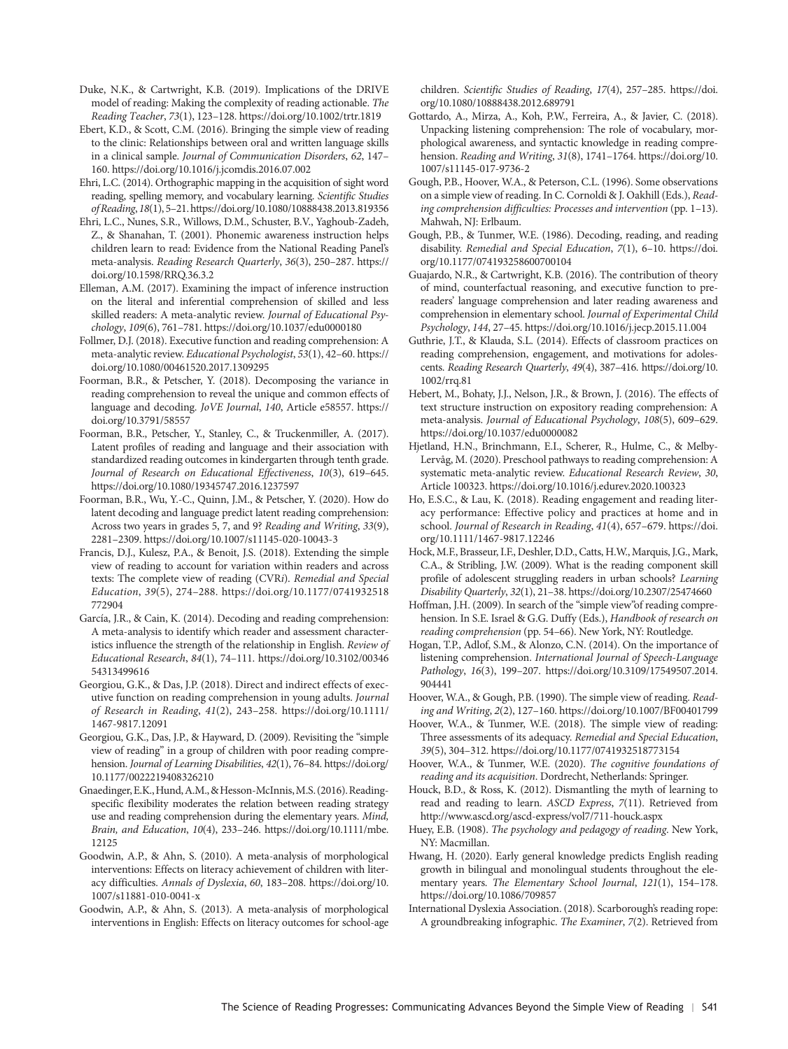- Duke, N.K., & Cartwright, K.B. (2019). Implications of the DRIVE model of reading: Making the complexity of reading actionable. *The Reading Teacher*, *73*(1), 123–128. <https://doi.org/10.1002/trtr.1819>
- Ebert, K.D., & Scott, C.M. (2016). Bringing the simple view of reading to the clinic: Relationships between oral and written language skills in a clinical sample. *Journal of Communication Disorders*, *62*, 147– 160. <https://doi.org/10.1016/j.jcomdis.2016.07.002>
- Ehri, L.C. (2014). Orthographic mapping in the acquisition of sight word reading, spelling memory, and vocabulary learning. *Scientific Studies of Reading*, *18*(1), 5–21.<https://doi.org/10.1080/10888438.2013.819356>
- Ehri, L.C., Nunes, S.R., Willows, D.M., Schuster, B.V., Yaghoub-Zadeh, Z., & Shanahan, T. (2001). Phonemic awareness instruction helps children learn to read: Evidence from the National Reading Panel's meta-analysis. *Reading Research Quarterly*, *36*(3), 250–287. [https://](https://doi.org/10.1598/RRQ.36.3.2) [doi.org/10.1598/RRQ.36.3.2](https://doi.org/10.1598/RRQ.36.3.2)
- Elleman, A.M. (2017). Examining the impact of inference instruction on the literal and inferential comprehension of skilled and less skilled readers: A meta-analytic review. *Journal of Educational Psychology*, *109*(6), 761–781.<https://doi.org/10.1037/edu0000180>
- Follmer, D.J. (2018). Executive function and reading comprehension: A meta-analytic review. *Educational Psychologist*, *53*(1), 42–60. [https://](https://doi.org/10.1080/00461520.2017.1309295) [doi.org/10.1080/00461520.2017.1309295](https://doi.org/10.1080/00461520.2017.1309295)
- Foorman, B.R., & Petscher, Y. (2018). Decomposing the variance in reading comprehension to reveal the unique and common effects of language and decoding. *JoVE Journal*, *140*, Article e58557. [https://](https://doi.org/10.3791/58557) [doi.org/10.3791/58557](https://doi.org/10.3791/58557)
- Foorman, B.R., Petscher, Y., Stanley, C., & Truckenmiller, A. (2017). Latent profiles of reading and language and their association with standardized reading outcomes in kindergarten through tenth grade. *Journal of Research on Educational Effectiveness*, *10*(3), 619–645. <https://doi.org/10.1080/19345747.2016.1237597>
- Foorman, B.R., Wu, Y.-C., Quinn, J.M., & Petscher, Y. (2020). How do latent decoding and language predict latent reading comprehension: Across two years in grades 5, 7, and 9? *Reading and Writing*, *33*(9), 2281–2309.<https://doi.org/10.1007/s11145-020-10043-3>
- Francis, D.J., Kulesz, P.A., & Benoit, J.S. (2018). Extending the simple view of reading to account for variation within readers and across texts: The complete view of reading (CVR*i*). *Remedial and Special Education*, *39*(5), 274–288. [https://doi.org/10.1177/0741932518](https://doi.org/10.1177/0741932518772904) [772904](https://doi.org/10.1177/0741932518772904)
- García, J.R., & Cain, K. (2014). Decoding and reading comprehension: A meta-analysis to identify which reader and assessment characteristics influence the strength of the relationship in English. *Review of Educational Research*, *84*(1), 74–111. [https://doi.org/10.3102/00346](https://doi.org/10.3102/0034654313499616) [54313499616](https://doi.org/10.3102/0034654313499616)
- Georgiou, G.K., & Das, J.P. (2018). Direct and indirect effects of executive function on reading comprehension in young adults. *Journal of Research in Reading*, *41*(2), 243–258. [https://doi.org/10.1111/](https://doi.org/10.1111/1467-9817.12091) [1467-9817.12091](https://doi.org/10.1111/1467-9817.12091)
- Georgiou, G.K., Das, J.P., & Hayward, D. (2009). Revisiting the "simple view of reading" in a group of children with poor reading comprehension. *Journal of Learning Disabilities*, *42*(1), 76–84. [https://doi.org/](https://doi.org/10.1177/0022219408326210) [10.1177/0022219408326210](https://doi.org/10.1177/0022219408326210)
- Gnaedinger, E.K., Hund, A.M., & Hesson-McInnis, M.S. (2016). Readingspecific flexibility moderates the relation between reading strategy use and reading comprehension during the elementary years. *Mind, Brain, and Education*, *10*(4), 233–246. [https://doi.org/10.1111/mbe.](https://doi.org/10.1111/mbe.12125) [12125](https://doi.org/10.1111/mbe.12125)
- Goodwin, A.P., & Ahn, S. (2010). A meta-analysis of morphological interventions: Effects on literacy achievement of children with literacy difficulties. *Annals of Dyslexia*, *60*, 183–208. [https://doi.org/10.](https://doi.org/10.1007/s11881-010-0041-x) [1007/s11881-010-0041-x](https://doi.org/10.1007/s11881-010-0041-x)
- Goodwin, A.P., & Ahn, S. (2013). A meta-analysis of morphological interventions in English: Effects on literacy outcomes for school-age

children. *Scientific Studies of Reading*, *17*(4), 257–285. [https://doi.](https://doi.org/10.1080/10888438.2012.689791) [org/10.1080/10888438.2012.689791](https://doi.org/10.1080/10888438.2012.689791)

- Gottardo, A., Mirza, A., Koh, P.W., Ferreira, A., & Javier, C. (2018). Unpacking listening comprehension: The role of vocabulary, morphological awareness, and syntactic knowledge in reading comprehension. *Reading and Writing*, *31*(8), 1741–1764. [https://doi.org/10.](https://doi.org/10.1007/s11145-017-9736-2) [1007/s11145-017-9736-2](https://doi.org/10.1007/s11145-017-9736-2)
- Gough, P.B., Hoover, W.A., & Peterson, C.L. (1996). Some observations on a simple view of reading. In C. Cornoldi & J. Oakhill (Eds.), *Reading comprehension difficulties: Processes and intervention* (pp. 1–13). Mahwah, NJ: Erlbaum.
- Gough, P.B., & Tunmer, W.E. (1986). Decoding, reading, and reading disability. *Remedial and Special Education*, *7*(1), 6–10. [https://doi.](https://doi.org/10.1177/074193258600700104) [org/10.1177/074193258600700104](https://doi.org/10.1177/074193258600700104)
- Guajardo, N.R., & Cartwright, K.B. (2016). The contribution of theory of mind, counterfactual reasoning, and executive function to prereaders' language comprehension and later reading awareness and comprehension in elementary school. *Journal of Experimental Child Psychology*, *144*, 27–45. <https://doi.org/10.1016/j.jecp.2015.11.004>
- Guthrie, J.T., & Klauda, S.L. (2014). Effects of classroom practices on reading comprehension, engagement, and motivations for adolescents. *Reading Research Quarterly*, *49*(4), 387–416. [https://doi.org/10.](https://doi.org/10.1002/rrq.81) [1002/rrq.81](https://doi.org/10.1002/rrq.81)
- Hebert, M., Bohaty, J.J., Nelson, J.R., & Brown, J. (2016). The effects of text structure instruction on expository reading comprehension: A meta-analysis. *Journal of Educational Psychology*, *108*(5), 609–629. <https://doi.org/10.1037/edu0000082>
- Hjetland, H.N., Brinchmann, E.I., Scherer, R., Hulme, C., & Melby-Lervåg, M. (2020). Preschool pathways to reading comprehension: A systematic meta-analytic review. *Educational Research Review*, *30*, Article 100323.<https://doi.org/10.1016/j.edurev.2020.100323>
- Ho, E.S.C., & Lau, K. (2018). Reading engagement and reading literacy performance: Effective policy and practices at home and in school. *Journal of Research in Reading*, *41*(4), 657–679. [https://doi.](https://doi.org/10.1111/1467-9817.12246) [org/10.1111/1467-9817.12246](https://doi.org/10.1111/1467-9817.12246)
- Hock, M.F., Brasseur, I.F., Deshler, D.D., Catts, H.W., Marquis, J.G., Mark, C.A., & Stribling, J.W. (2009). What is the reading component skill profile of adolescent struggling readers in urban schools? *Learning Disability Quarterly*, *32*(1), 21–38.<https://doi.org/10.2307/25474660>
- Hoffman, J.H. (2009). In search of the "simple view"of reading comprehension. In S.E. Israel & G.G. Duffy (Eds.), *Handbook of research on reading comprehension* (pp. 54–66). New York, NY: Routledge.
- Hogan, T.P., Adlof, S.M., & Alonzo, C.N. (2014). On the importance of listening comprehension. *International Journal of Speech-Language Pathology*, *16*(3), 199–207. [https://doi.org/10.3109/17549507.2014.](https://doi.org/10.3109/17549507.2014.904441) [904441](https://doi.org/10.3109/17549507.2014.904441)
- Hoover, W.A., & Gough, P.B. (1990). The simple view of reading. *Reading and Writing*, *2*(2), 127–160.<https://doi.org/10.1007/BF00401799>
- Hoover, W.A., & Tunmer, W.E. (2018). The simple view of reading: Three assessments of its adequacy. *Remedial and Special Education*, *39*(5), 304–312.<https://doi.org/10.1177/0741932518773154>
- Hoover, W.A., & Tunmer, W.E. (2020). *The cognitive foundations of reading and its acquisition*. Dordrecht, Netherlands: Springer.
- Houck, B.D., & Ross, K. (2012). Dismantling the myth of learning to read and reading to learn. *ASCD Express*, *7*(11). Retrieved from <http://www.ascd.org/ascd-express/vol7/711-houck.aspx>
- Huey, E.B. (1908). *The psychology and pedagogy of reading*. New York, NY: Macmillan.
- Hwang, H. (2020). Early general knowledge predicts English reading growth in bilingual and monolingual students throughout the elementary years. *The Elementary School Journal*, *121*(1), 154–178. <https://doi.org/10.1086/709857>
- International Dyslexia Association. (2018). Scarborough's reading rope: A groundbreaking infographic. *The Examiner*, *7*(2). Retrieved from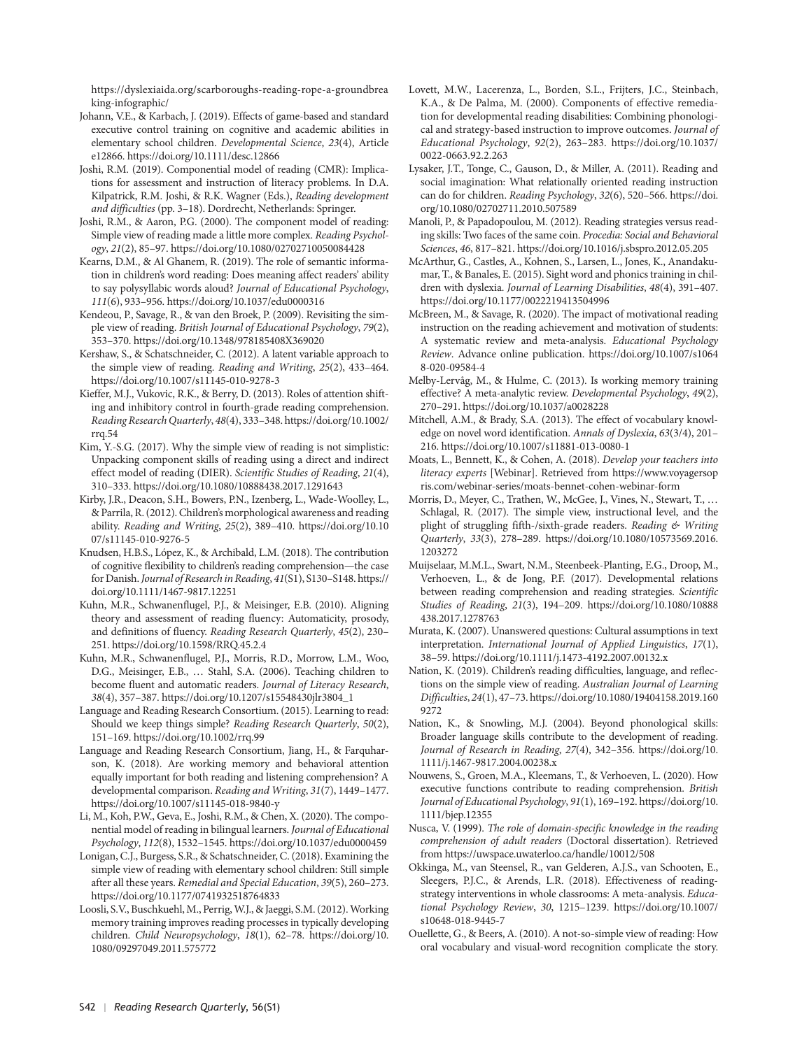[https://dyslexiaida.org/scarboroughs-reading-rope-a-groundbrea](https://dyslexiaida.org/scarboroughs-reading-rope-a-groundbreaking-infographic/) [king-infographic/](https://dyslexiaida.org/scarboroughs-reading-rope-a-groundbreaking-infographic/)

Johann, V.E., & Karbach, J. (2019). Effects of game-based and standard executive control training on cognitive and academic abilities in elementary school children. *Developmental Science*, *23*(4), Article e12866.<https://doi.org/10.1111/desc.12866>

Joshi, R.M. (2019). Componential model of reading (CMR): Implications for assessment and instruction of literacy problems. In D.A. Kilpatrick, R.M. Joshi, & R.K. Wagner (Eds.), *Reading development and difficulties* (pp. 3–18). Dordrecht, Netherlands: Springer.

Joshi, R.M., & Aaron, P.G. (2000). The component model of reading: Simple view of reading made a little more complex. *Reading Psychology*, *21*(2), 85–97.<https://doi.org/10.1080/02702710050084428>

Kearns, D.M., & Al Ghanem, R. (2019). The role of semantic information in children's word reading: Does meaning affect readers' ability to say polysyllabic words aloud? *Journal of Educational Psychology*, *111*(6), 933–956.<https://doi.org/10.1037/edu0000316>

Kendeou, P., Savage, R., & van den Broek, P. (2009). Revisiting the simple view of reading. *British Journal of Educational Psychology*, *79*(2), 353–370.<https://doi.org/10.1348/978185408X369020>

Kershaw, S., & Schatschneider, C. (2012). A latent variable approach to the simple view of reading. *Reading and Writing*, *25*(2), 433–464. <https://doi.org/10.1007/s11145-010-9278-3>

- Kieffer, M.J., Vukovic, R.K., & Berry, D. (2013). Roles of attention shifting and inhibitory control in fourth-grade reading comprehension. *Reading Research Quarterly*, *48*(4), 333–348. [https://doi.org/10.1002/](https://doi.org/10.1002/rrq.54) [rrq.54](https://doi.org/10.1002/rrq.54)
- Kim, Y.-S.G. (2017). Why the simple view of reading is not simplistic: Unpacking component skills of reading using a direct and indirect effect model of reading (DIER). *Scientific Studies of Reading*, *21*(4), 310–333.<https://doi.org/10.1080/10888438.2017.1291643>

Kirby, J.R., Deacon, S.H., Bowers, P.N., Izenberg, L., Wade-Woolley, L., & Parrila, R. (2012). Children's morphological awareness and reading ability. *Reading and Writing*, *25*(2), 389–410. [https://doi.org/10.10](https://doi.org/10.1007/s11145-010-9276-5) [07/s11145-010-9276-5](https://doi.org/10.1007/s11145-010-9276-5)

- Knudsen, H.B.S., López, K., & Archibald, L.M. (2018). The contribution of cognitive flexibility to children's reading comprehension—the case for Danish. *Journal of Research in Reading*, *41*(S1), S130–S148. [https://](https://doi.org/10.1111/1467-9817.12251) [doi.org/10.1111/1467-9817.12251](https://doi.org/10.1111/1467-9817.12251)
- Kuhn, M.R., Schwanenflugel, P.J., & Meisinger, E.B. (2010). Aligning theory and assessment of reading fluency: Automaticity, prosody, and definitions of fluency. *Reading Research Quarterly*, *45*(2), 230– 251. <https://doi.org/10.1598/RRQ.45.2.4>
- Kuhn, M.R., Schwanenflugel, P.J., Morris, R.D., Morrow, L.M., Woo, D.G., Meisinger, E.B., … Stahl, S.A. (2006). Teaching children to become fluent and automatic readers. *Journal of Literacy Research*, *38*(4), 357–387. [https://doi.org/10.1207/s15548430jlr3804\\_1](https://doi.org/10.1207/s15548430jlr3804_1)

Language and Reading Research Consortium. (2015). Learning to read: Should we keep things simple? *Reading Research Quarterly*, *50*(2), 151–169.<https://doi.org/10.1002/rrq.99>

Language and Reading Research Consortium, Jiang, H., & Farquharson, K. (2018). Are working memory and behavioral attention equally important for both reading and listening comprehension? A developmental comparison. *Reading and Writing*, *31*(7), 1449–1477. <https://doi.org/10.1007/s11145-018-9840-y>

Li, M., Koh, P.W., Geva, E., Joshi, R.M., & Chen, X. (2020). The componential model of reading in bilingual learners. *Journal of Educational Psychology*, *112*(8), 1532–1545. <https://doi.org/10.1037/edu0000459>

- Lonigan, C.J., Burgess, S.R., & Schatschneider, C. (2018). Examining the simple view of reading with elementary school children: Still simple after all these years. *Remedial and Special Education*, *39*(5), 260–273. <https://doi.org/10.1177/0741932518764833>
- Loosli, S.V., Buschkuehl, M., Perrig, W.J., & Jaeggi, S.M. (2012). Working memory training improves reading processes in typically developing children. *Child Neuropsychology*, *18*(1), 62–78. [https://doi.org/10.](https://doi.org/10.1080/09297049.2011.575772) [1080/09297049.2011.575772](https://doi.org/10.1080/09297049.2011.575772)

Lovett, M.W., Lacerenza, L., Borden, S.L., Frijters, J.C., Steinbach, K.A., & De Palma, M. (2000). Components of effective remediation for developmental reading disabilities: Combining phonological and strategy-based instruction to improve outcomes. *Journal of Educational Psychology*, *92*(2), 263–283. [https://doi.org/10.1037/](https://doi.org/10.1037/0022-0663.92.2.263) [0022-0663.92.2.263](https://doi.org/10.1037/0022-0663.92.2.263)

Lysaker, J.T., Tonge, C., Gauson, D., & Miller, A. (2011). Reading and social imagination: What relationally oriented reading instruction can do for children. *Reading Psychology*, *32*(6), 520–566. [https://doi.](https://doi.org/10.1080/02702711.2010.507589) [org/10.1080/02702711.2010.507589](https://doi.org/10.1080/02702711.2010.507589)

Manoli, P., & Papadopoulou, M. (2012). Reading strategies versus reading skills: Two faces of the same coin. *Procedia: Social and Behavioral Sciences*, *46*, 817–821.<https://doi.org/10.1016/j.sbspro.2012.05.205>

McArthur, G., Castles, A., Kohnen, S., Larsen, L., Jones, K., Anandakumar, T., & Banales, E. (2015). Sight word and phonics training in children with dyslexia. *Journal of Learning Disabilities*, *48*(4), 391–407. <https://doi.org/10.1177/0022219413504996>

McBreen, M., & Savage, R. (2020). The impact of motivational reading instruction on the reading achievement and motivation of students: A systematic review and meta-analysis. *Educational Psychology Review*. Advance online publication. [https://doi.org/10.1007/s1064](https://doi.org/10.1007/s10648-020-09584-4) [8-020-09584-4](https://doi.org/10.1007/s10648-020-09584-4)

Melby-Lervåg, M., & Hulme, C. (2013). Is working memory training effective? A meta-analytic review. *Developmental Psychology*, *49*(2), 270–291.<https://doi.org/10.1037/a0028228>

Mitchell, A.M., & Brady, S.A. (2013). The effect of vocabulary knowledge on novel word identification. *Annals of Dyslexia*, *63*(3/4), 201– 216. <https://doi.org/10.1007/s11881-013-0080-1>

Moats, L., Bennett, K., & Cohen, A. (2018). *Develop your teachers into literacy experts* [Webinar]. Retrieved from [https://www.voyagersop](https://www.voyagersopris.com/webinar-series/moats-bennet-cohen-webinar-form) [ris.com/webinar-series/moats-bennet-cohen-webinar-form](https://www.voyagersopris.com/webinar-series/moats-bennet-cohen-webinar-form)

Morris, D., Meyer, C., Trathen, W., McGee, J., Vines, N., Stewart, T., … Schlagal, R. (2017). The simple view, instructional level, and the plight of struggling fifth-/sixth-grade readers. *Reading & Writing Quarterly*, *33*(3), 278–289. [https://doi.org/10.1080/10573569.2016.](https://doi.org/10.1080/10573569.2016.1203272) [1203272](https://doi.org/10.1080/10573569.2016.1203272)

Muijselaar, M.M.L., Swart, N.M., Steenbeek-Planting, E.G., Droop, M., Verhoeven, L., & de Jong, P.F. (2017). Developmental relations between reading comprehension and reading strategies. *Scientific Studies of Reading*, *21*(3), 194–209. [https://doi.org/10.1080/10888](https://doi.org/10.1080/10888438.2017.1278763) [438.2017.1278763](https://doi.org/10.1080/10888438.2017.1278763)

Murata, K. (2007). Unanswered questions: Cultural assumptions in text interpretation. *International Journal of Applied Linguistics*, *17*(1), 38–59.<https://doi.org/10.1111/j.1473-4192.2007.00132.x>

Nation, K. (2019). Children's reading difficulties, language, and reflections on the simple view of reading. *Australian Journal of Learning Difficulties*, *24*(1), 47–73. [https://doi.org/10.1080/19404158.2019.160](https://doi.org/10.1080/19404158.2019.1609272) [9272](https://doi.org/10.1080/19404158.2019.1609272)

Nation, K., & Snowling, M.J. (2004). Beyond phonological skills: Broader language skills contribute to the development of reading. *Journal of Research in Reading*, *27*(4), 342–356. [https://doi.org/10.](https://doi.org/10.1111/j.1467-9817.2004.00238.x) [1111/j.1467-9817.2004.00238.x](https://doi.org/10.1111/j.1467-9817.2004.00238.x)

Nouwens, S., Groen, M.A., Kleemans, T., & Verhoeven, L. (2020). How executive functions contribute to reading comprehension. *British Journal of Educational Psychology*, *91*(1), 169–192. [https://doi.org/10.](https://doi.org/10.1111/bjep.12355) [1111/bjep.12355](https://doi.org/10.1111/bjep.12355)

Nusca, V. (1999). *The role of domain-specific knowledge in the reading comprehension of adult readers* (Doctoral dissertation). Retrieved from<https://uwspace.uwaterloo.ca/handle/10012/508>

Okkinga, M., van Steensel, R., van Gelderen, A.J.S., van Schooten, E., Sleegers, P.J.C., & Arends, L.R. (2018). Effectiveness of readingstrategy interventions in whole classrooms: A meta-analysis. *Educational Psychology Review*, *30*, 1215–1239. [https://doi.org/10.1007/](https://doi.org/10.1007/s10648-018-9445-7) [s10648-018-9445-7](https://doi.org/10.1007/s10648-018-9445-7)

Ouellette, G., & Beers, A. (2010). A not-so-simple view of reading: How oral vocabulary and visual-word recognition complicate the story.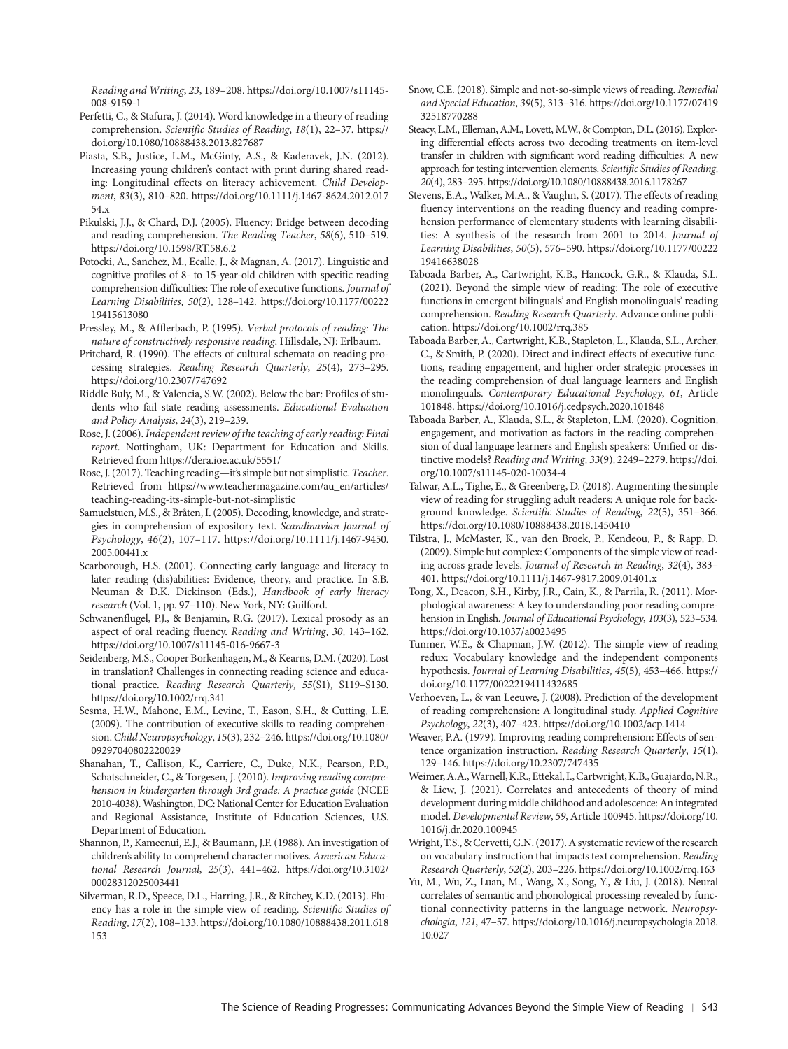*Reading and Writing*, *23*, 189–208. [https://doi.org/10.1007/s11145-](https://doi.org/10.1007/s11145-008-9159-1)  [008-9159-1](https://doi.org/10.1007/s11145-008-9159-1)

- Perfetti, C., & Stafura, J. (2014). Word knowledge in a theory of reading comprehension. *Scientific Studies of Reading*, *18*(1), 22–37. [https://](https://doi.org/10.1080/10888438.2013.827687) [doi.org/10.1080/10888438.2013.827687](https://doi.org/10.1080/10888438.2013.827687)
- Piasta, S.B., Justice, L.M., McGinty, A.S., & Kaderavek, J.N. (2012). Increasing young children's contact with print during shared reading: Longitudinal effects on literacy achievement. *Child Development*, *83*(3), 810–820. [https://doi.org/10.1111/j.1467-8624.2012.017](https://doi.org/10.1111/j.1467-8624.2012.01754.x) [54.x](https://doi.org/10.1111/j.1467-8624.2012.01754.x)
- Pikulski, J.J., & Chard, D.J. (2005). Fluency: Bridge between decoding and reading comprehension. *The Reading Teacher*, *58*(6), 510–519. <https://doi.org/10.1598/RT.58.6.2>
- Potocki, A., Sanchez, M., Ecalle, J., & Magnan, A. (2017). Linguistic and cognitive profiles of 8- to 15-year-old children with specific reading comprehension difficulties: The role of executive functions. *Journal of Learning Disabilities*, *50*(2), 128–142. [https://doi.org/10.1177/00222](https://doi.org/10.1177/0022219415613080) [19415613080](https://doi.org/10.1177/0022219415613080)
- Pressley, M., & Afflerbach, P. (1995). *Verbal protocols of reading: The nature of constructively responsive reading*. Hillsdale, NJ: Erlbaum.
- Pritchard, R. (1990). The effects of cultural schemata on reading processing strategies. *Reading Research Quarterly*, *25*(4), 273–295. <https://doi.org/10.2307/747692>
- Riddle Buly, M., & Valencia, S.W. (2002). Below the bar: Profiles of students who fail state reading assessments. *Educational Evaluation and Policy Analysis*, *24*(3), 219–239.
- Rose, J. (2006). *Independent review of the teaching of early reading: Final report*. Nottingham, UK: Department for Education and Skills. Retrieved from<https://dera.ioe.ac.uk/5551/>
- Rose, J. (2017). Teaching reading—it's simple but not simplistic. *Teacher*. Retrieved from [https://www.teachermagazine.com/au\\_en/articles/](https://www.teachermagazine.com/au_en/articles/teaching-reading-its-simple-but-not-simplistic) [teaching-reading-its-simple-but-not-simplistic](https://www.teachermagazine.com/au_en/articles/teaching-reading-its-simple-but-not-simplistic)
- Samuelstuen, M.S., & Bråten, I. (2005). Decoding, knowledge, and strategies in comprehension of expository text. *Scandinavian Journal of Psychology*, *46*(2), 107–117. [https://doi.org/10.1111/j.1467-9450.](https://doi.org/10.1111/j.1467-9450.2005.00441.x) [2005.00441.x](https://doi.org/10.1111/j.1467-9450.2005.00441.x)
- Scarborough, H.S. (2001). Connecting early language and literacy to later reading (dis)abilities: Evidence, theory, and practice. In S.B. Neuman & D.K. Dickinson (Eds.), *Handbook of early literacy research* (Vol. 1, pp. 97–110). New York, NY: Guilford.
- Schwanenflugel, P.J., & Benjamin, R.G. (2017). Lexical prosody as an aspect of oral reading fluency. *Reading and Writing*, *30*, 143–162. <https://doi.org/10.1007/s11145-016-9667-3>
- Seidenberg, M.S., Cooper Borkenhagen, M., & Kearns, D.M. (2020). Lost in translation? Challenges in connecting reading science and educational practice. *Reading Research Quarterly*, *55*(S1), S119–S130. <https://doi.org/10.1002/rrq.341>
- Sesma, H.W., Mahone, E.M., Levine, T., Eason, S.H., & Cutting, L.E. (2009). The contribution of executive skills to reading comprehension. *Child Neuropsychology*, *15*(3), 232–246. [https://doi.org/10.1080/](https://doi.org/10.1080/09297040802220029) [09297040802220029](https://doi.org/10.1080/09297040802220029)
- Shanahan, T., Callison, K., Carriere, C., Duke, N.K., Pearson, P.D., Schatschneider, C., & Torgesen, J. (2010). *Improving reading comprehension in kindergarten through 3rd grade: A practice guide* (NCEE 2010-4038). Washington, DC: National Center for Education Evaluation and Regional Assistance, Institute of Education Sciences, U.S. Department of Education.
- Shannon, P., Kameenui, E.J., & Baumann, J.F. (1988). An investigation of children's ability to comprehend character motives. *American Educational Research Journal*, *25*(3), 441–462. [https://doi.org/10.3102/](https://doi.org/10.3102/00028312025003441) [00028312025003441](https://doi.org/10.3102/00028312025003441)
- Silverman, R.D., Speece, D.L., Harring, J.R., & Ritchey, K.D. (2013). Fluency has a role in the simple view of reading. *Scientific Studies of Reading*, *17*(2), 108–133. [https://doi.org/10.1080/10888438.2011.618](https://doi.org/10.1080/10888438.2011.618153) [153](https://doi.org/10.1080/10888438.2011.618153)
- Snow, C.E. (2018). Simple and not-so-simple views of reading. *Remedial and Special Education*, *39*(5), 313–316. [https://doi.org/10.1177/07419](https://doi.org/10.1177/0741932518770288) [32518770288](https://doi.org/10.1177/0741932518770288)
- Steacy, L.M., Elleman, A.M., Lovett, M.W., & Compton, D.L. (2016). Exploring differential effects across two decoding treatments on item-level transfer in children with significant word reading difficulties: A new approach for testing intervention elements. *Scientific Studies of Reading*, *20*(4), 283–295. <https://doi.org/10.1080/10888438.2016.1178267>
- Stevens, E.A., Walker, M.A., & Vaughn, S. (2017). The effects of reading fluency interventions on the reading fluency and reading comprehension performance of elementary students with learning disabilities: A synthesis of the research from 2001 to 2014. *Journal of Learning Disabilities*, *50*(5), 576–590. [https://doi.org/10.1177/00222](https://doi.org/10.1177/0022219416638028) [19416638028](https://doi.org/10.1177/0022219416638028)
- Taboada Barber, A., Cartwright, K.B., Hancock, G.R., & Klauda, S.L. (2021). Beyond the simple view of reading: The role of executive functions in emergent bilinguals' and English monolinguals' reading comprehension. *Reading Research Quarterly*. Advance online publication.<https://doi.org/10.1002/rrq.385>
- Taboada Barber, A., Cartwright, K.B., Stapleton, L., Klauda, S.L., Archer, C., & Smith, P. (2020). Direct and indirect effects of executive functions, reading engagement, and higher order strategic processes in the reading comprehension of dual language learners and English monolinguals. *Contemporary Educational Psychology*, *61*, Article 101848. <https://doi.org/10.1016/j.cedpsych.2020.101848>
- Taboada Barber, A., Klauda, S.L., & Stapleton, L.M. (2020). Cognition, engagement, and motivation as factors in the reading comprehension of dual language learners and English speakers: Unified or distinctive models? *Reading and Writing*, *33*(9), 2249–2279. [https://doi.](https://doi.org/10.1007/s11145-020-10034-4) [org/10.1007/s11145-020-10034-4](https://doi.org/10.1007/s11145-020-10034-4)
- Talwar, A.L., Tighe, E., & Greenberg, D. (2018). Augmenting the simple view of reading for struggling adult readers: A unique role for background knowledge. *Scientific Studies of Reading*, *22*(5), 351–366. <https://doi.org/10.1080/10888438.2018.1450410>
- Tilstra, J., McMaster, K., van den Broek, P., Kendeou, P., & Rapp, D. (2009). Simple but complex: Components of the simple view of reading across grade levels. *Journal of Research in Reading*, *32*(4), 383– 401. <https://doi.org/10.1111/j.1467-9817.2009.01401.x>
- Tong, X., Deacon, S.H., Kirby, J.R., Cain, K., & Parrila, R. (2011). Morphological awareness: A key to understanding poor reading comprehension in English. *Journal of Educational Psychology*, *103*(3), 523–534. <https://doi.org/10.1037/a0023495>
- Tunmer, W.E., & Chapman, J.W. (2012). The simple view of reading redux: Vocabulary knowledge and the independent components hypothesis. *Journal of Learning Disabilities*, *45*(5), 453–466. [https://](https://doi.org/10.1177/0022219411432685) [doi.org/10.1177/0022219411432685](https://doi.org/10.1177/0022219411432685)
- Verhoeven, L., & van Leeuwe, J. (2008). Prediction of the development of reading comprehension: A longitudinal study. *Applied Cognitive Psychology*, *22*(3), 407–423. <https://doi.org/10.1002/acp.1414>
- Weaver, P.A. (1979). Improving reading comprehension: Effects of sentence organization instruction. *Reading Research Quarterly*, *15*(1), 129–146.<https://doi.org/10.2307/747435>
- Weimer, A.A., Warnell, K.R., Ettekal, I., Cartwright, K.B., Guajardo, N.R., & Liew, J. (2021). Correlates and antecedents of theory of mind development during middle childhood and adolescence: An integrated model. *Developmental Review*, *59*, Article 100945. [https://doi.org/10.](https://doi.org/10.1016/j.dr.2020.100945) [1016/j.dr.2020.100945](https://doi.org/10.1016/j.dr.2020.100945)
- Wright, T.S., & Cervetti, G.N. (2017). A systematic review of the research on vocabulary instruction that impacts text comprehension. *Reading Research Quarterly*, *52*(2), 203–226. <https://doi.org/10.1002/rrq.163>
- Yu, M., Wu, Z., Luan, M., Wang, X., Song, Y., & Liu, J. (2018). Neural correlates of semantic and phonological processing revealed by functional connectivity patterns in the language network. *Neuropsychologia*, *121*, 47–57. [https://doi.org/10.1016/j.neuropsychologia.2018.](https://doi.org/10.1016/j.neuropsychologia.2018.10.027)  [10.027](https://doi.org/10.1016/j.neuropsychologia.2018.10.027)